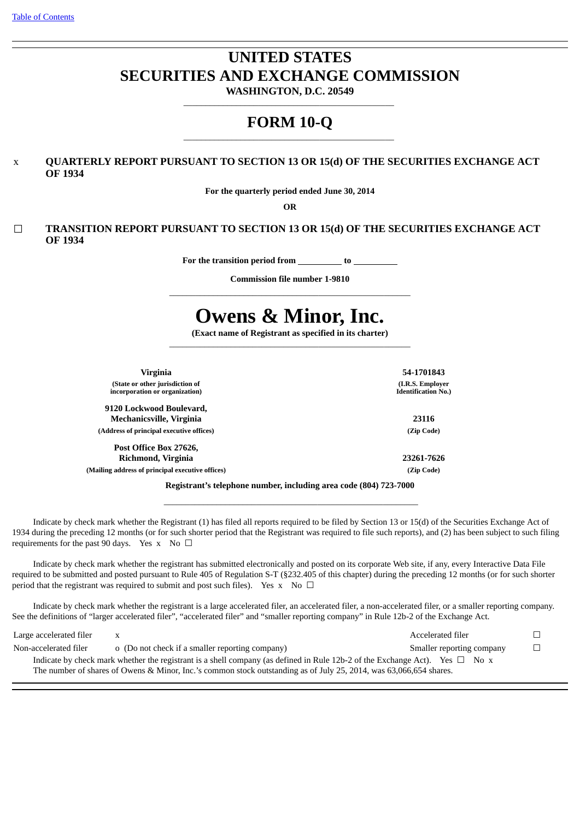# **UNITED STATES SECURITIES AND EXCHANGE COMMISSION**

**WASHINGTON, D.C. 20549** \_\_\_\_\_\_\_\_\_\_\_\_\_\_\_\_\_\_\_\_\_\_\_\_\_\_\_\_\_\_\_\_\_\_\_\_\_\_\_\_\_\_\_\_\_\_\_\_

# **FORM 10-Q** \_\_\_\_\_\_\_\_\_\_\_\_\_\_\_\_\_\_\_\_\_\_\_\_\_\_\_\_\_\_\_\_\_\_\_\_\_\_\_\_\_\_\_\_\_\_\_\_

# x **QUARTERLY REPORT PURSUANT TO SECTION 13 OR 15(d) OF THE SECURITIES EXCHANGE ACT OF 1934**

**For the quarterly period ended June 30, 2014**

**OR**

# ☐ **TRANSITION REPORT PURSUANT TO SECTION 13 OR 15(d) OF THE SECURITIES EXCHANGE ACT OF 1934**

**For the transition period from to**

**Commission file number 1-9810** \_\_\_\_\_\_\_\_\_\_\_\_\_\_\_\_\_\_\_\_\_\_\_\_\_\_\_\_\_\_\_\_\_\_\_\_\_\_\_\_\_\_\_\_\_\_\_\_\_\_\_\_\_\_\_

# **Owens & Minor, Inc.**

**(Exact name of Registrant as specified in its charter)** \_\_\_\_\_\_\_\_\_\_\_\_\_\_\_\_\_\_\_\_\_\_\_\_\_\_\_\_\_\_\_\_\_\_\_\_\_\_\_\_\_\_\_\_\_\_\_\_\_\_\_\_\_\_\_

| Virginia                                                          | 54-1701843                                      |
|-------------------------------------------------------------------|-------------------------------------------------|
| (State or other jurisdiction of<br>incorporation or organization) | (I.R.S. Employer)<br><b>Identification No.)</b> |
| 9120 Lockwood Boulevard,                                          |                                                 |
| Mechanicsville, Virginia                                          | 23116                                           |
| (Address of principal executive offices)                          | (Zip Code)                                      |
| Post Office Box 27626.                                            |                                                 |
| Richmond, Virginia                                                | 23261-7626                                      |
| (Mailing address of principal executive offices)                  | (Zip Code)                                      |
|                                                                   |                                                 |

**Registrant's telephone number, including area code (804) 723-7000** \_\_\_\_\_\_\_\_\_\_\_\_\_\_\_\_\_\_\_\_\_\_\_\_\_\_\_\_\_\_\_\_\_\_\_\_\_\_\_\_\_\_\_\_\_\_\_\_\_\_\_\_\_\_\_\_\_\_

Indicate by check mark whether the Registrant (1) has filed all reports required to be filed by Section 13 or 15(d) of the Securities Exchange Act of 1934 during the preceding 12 months (or for such shorter period that the Registrant was required to file such reports), and (2) has been subject to such filing requirements for the past 90 days. Yes  $x \to 0$ 

Indicate by check mark whether the registrant has submitted electronically and posted on its corporate Web site, if any, every Interactive Data File required to be submitted and posted pursuant to Rule 405 of Regulation S-T (§232.405 of this chapter) during the preceding 12 months (or for such shorter period that the registrant was required to submit and post such files). Yes  $x \in N_0 \square$ 

Indicate by check mark whether the registrant is a large accelerated filer, an accelerated filer, a non-accelerated filer, or a smaller reporting company. See the definitions of "larger accelerated filer", "accelerated filer" and "smaller reporting company" in Rule 12b-2 of the Exchange Act.

<span id="page-0-0"></span>

| Large accelerated filer |                                                                                                                                     | Accelerated filer         |        |
|-------------------------|-------------------------------------------------------------------------------------------------------------------------------------|---------------------------|--------|
| Non-accelerated filer   | o (Do not check if a smaller reporting company)                                                                                     | Smaller reporting company | $\Box$ |
|                         | Indicate by check mark whether the registrant is a shell company (as defined in Rule 12b-2 of the Exchange Act). Yes $\square$ No x |                           |        |
|                         | The number of shares of Owens & Minor, Inc.'s common stock outstanding as of July 25, 2014, was 63,066,654 shares.                  |                           |        |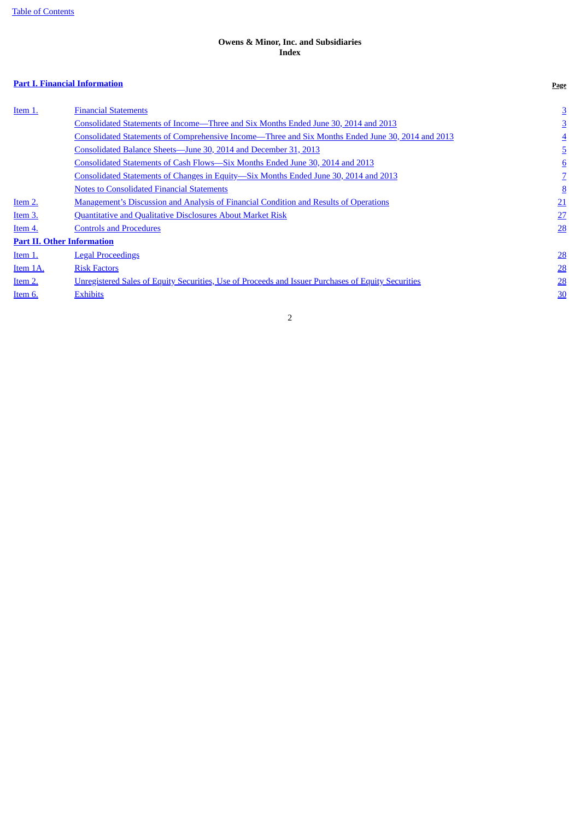# **Owens & Minor, Inc. and Subsidiaries Index**

# **Part I. Financial [Information](#page-1-0) Page**

<span id="page-1-0"></span>

| Item 1.  | <b>Financial Statements</b>                                                                               |                |
|----------|-----------------------------------------------------------------------------------------------------------|----------------|
|          | Consolidated Statements of Income—Three and Six Months Ended June 30, 2014 and 2013                       | 3              |
|          | Consolidated Statements of Comprehensive Income—Three and Six Months Ended June 30, 2014 and 2013         | $\overline{4}$ |
|          | Consolidated Balance Sheets-June 30, 2014 and December 31, 2013                                           | 5              |
|          | Consolidated Statements of Cash Flows—Six Months Ended June 30, 2014 and 2013                             | 6              |
|          | Consolidated Statements of Changes in Equity-Six Months Ended June 30, 2014 and 2013                      |                |
|          | <b>Notes to Consolidated Financial Statements</b>                                                         | 8              |
| Item 2.  | <b>Management's Discussion and Analysis of Financial Condition and Results of Operations</b>              | <u>21</u>      |
| Item 3.  | Quantitative and Qualitative Disclosures About Market Risk                                                | 27             |
| Item 4.  | <b>Controls and Procedures</b>                                                                            | 28             |
|          | <b>Part II. Other Information</b>                                                                         |                |
| Item 1.  | <b>Legal Proceedings</b>                                                                                  | 28             |
| Item 1A. | <b>Risk Factors</b>                                                                                       | 28             |
| Item 2.  | <b>Unregistered Sales of Equity Securities, Use of Proceeds and Issuer Purchases of Equity Securities</b> | 28             |
| Item 6.  | <b>Exhibits</b>                                                                                           | 30             |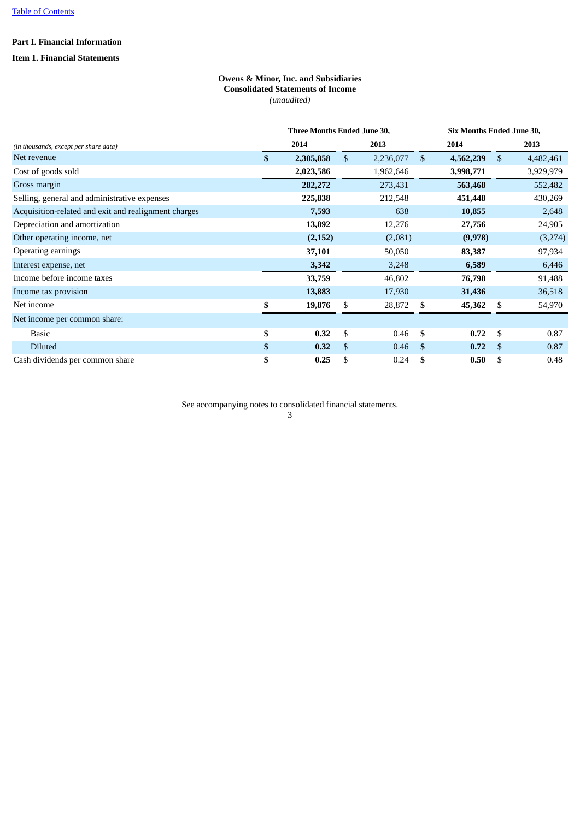# **Part I. Financial Information**

# <span id="page-2-1"></span><span id="page-2-0"></span>**Item 1. Financial Statements**

# **Owens & Minor, Inc. and Subsidiaries Consolidated Statements of Income** *(unaudited)*

|                                                      | <b>Three Months Ended June 30,</b> |      |           |      | Six Months Ended June 30, |               |           |  |  |
|------------------------------------------------------|------------------------------------|------|-----------|------|---------------------------|---------------|-----------|--|--|
| (in thousands, except per share data)                | 2014                               | 2013 |           | 2014 |                           |               | 2013      |  |  |
| Net revenue                                          | \$<br>2,305,858                    | \$   | 2,236,077 | \$   | 4,562,239                 | <sup>\$</sup> | 4,482,461 |  |  |
| Cost of goods sold                                   | 2,023,586                          |      | 1,962,646 |      | 3,998,771                 |               | 3,929,979 |  |  |
| Gross margin                                         | 282,272                            |      | 273,431   |      | 563,468                   |               | 552,482   |  |  |
| Selling, general and administrative expenses         | 225,838                            |      | 212,548   |      | 451,448                   |               | 430,269   |  |  |
| Acquisition-related and exit and realignment charges | 7,593                              |      | 638       |      | 10,855                    |               | 2,648     |  |  |
| Depreciation and amortization                        | 13,892                             |      | 12,276    |      | 27,756                    |               | 24,905    |  |  |
| Other operating income, net                          | (2, 152)                           |      | (2,081)   |      | (9,978)                   |               | (3,274)   |  |  |
| Operating earnings                                   | 37,101                             |      | 50,050    |      | 83,387                    |               | 97,934    |  |  |
| Interest expense, net                                | 3,342                              |      | 3,248     |      | 6,589                     |               | 6,446     |  |  |
| Income before income taxes                           | 33,759                             |      | 46,802    |      | 76,798                    |               | 91,488    |  |  |
| Income tax provision                                 | 13,883                             |      | 17,930    |      | 31,436                    |               | 36,518    |  |  |
| Net income                                           | \$<br>19,876                       | \$   | 28,872    | \$   | 45,362                    | -S            | 54,970    |  |  |
| Net income per common share:                         |                                    |      |           |      |                           |               |           |  |  |
| <b>Basic</b>                                         | \$<br>0.32                         | \$   | 0.46      | -\$  | 0.72                      | \$            | 0.87      |  |  |
| <b>Diluted</b>                                       | \$<br>0.32                         | \$   | 0.46      | \$   | 0.72                      | <sup>\$</sup> | 0.87      |  |  |
| Cash dividends per common share                      | \$<br>0.25                         | \$   | 0.24      | \$   | 0.50                      | \$            | 0.48      |  |  |

<span id="page-2-2"></span>See accompanying notes to consolidated financial statements.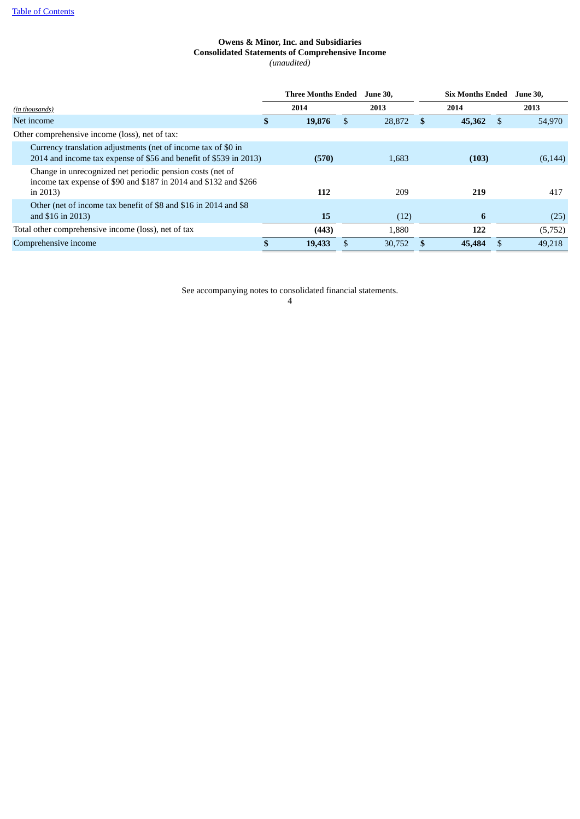## **Owens & Minor, Inc. and Subsidiaries Consolidated Statements of Comprehensive Income** *(unaudited)*

|                                                                                                                                              | <b>Three Months Ended</b><br><b>June 30.</b> |        |  |        | <b>Six Months Ended</b> | <b>June 30,</b> |          |  |
|----------------------------------------------------------------------------------------------------------------------------------------------|----------------------------------------------|--------|--|--------|-------------------------|-----------------|----------|--|
| (in thousands)                                                                                                                               |                                              | 2014   |  | 2013   | 2014                    |                 | 2013     |  |
| Net income                                                                                                                                   | \$                                           | 19,876 |  | 28,872 | 45,362                  |                 | 54,970   |  |
| Other comprehensive income (loss), net of tax:                                                                                               |                                              |        |  |        |                         |                 |          |  |
| Currency translation adjustments (net of income tax of \$0 in<br>2014 and income tax expense of \$56 and benefit of \$539 in 2013)           |                                              | (570)  |  | 1,683  | (103)                   |                 | (6, 144) |  |
| Change in unrecognized net periodic pension costs (net of<br>income tax expense of \$90 and \$187 in 2014 and \$132 and \$266<br>in $2013$ ) |                                              | 112    |  | 209    | 219                     |                 | 417      |  |
| Other (net of income tax benefit of \$8 and \$16 in 2014 and \$8<br>and \$16 in 2013)                                                        |                                              | 15     |  | (12)   | 6                       |                 | (25)     |  |
| Total other comprehensive income (loss), net of tax                                                                                          |                                              | (443)  |  | 1,880  | 122                     |                 | (5,752)  |  |
| Comprehensive income                                                                                                                         |                                              | 19,433 |  | 30,752 | 45,484                  |                 | 49,218   |  |

<span id="page-3-0"></span>See accompanying notes to consolidated financial statements.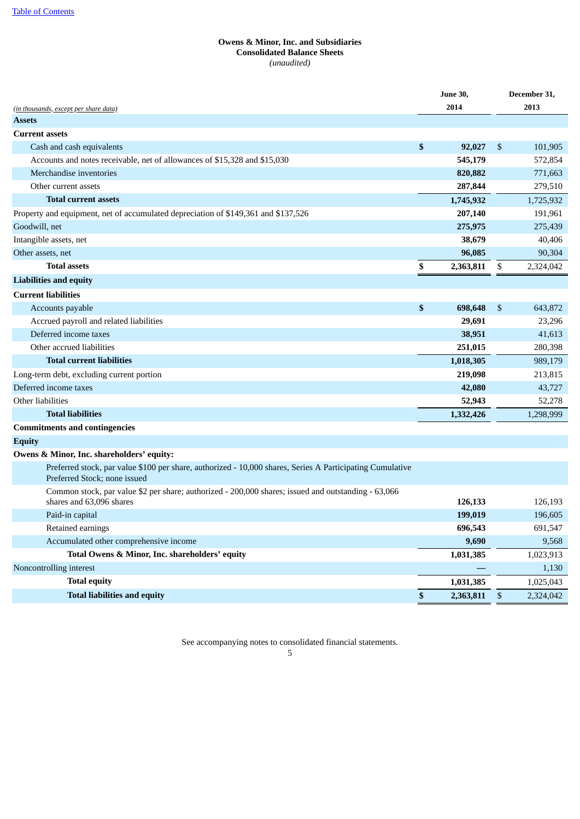## **Owens & Minor, Inc. and Subsidiaries Consolidated Balance Sheets** *(unaudited)*

| 2014<br>2013<br><i>(in thousands, except per share data)</i><br><b>Assets</b><br><b>Current assets</b><br>\$<br>92,027<br>101,905<br>Cash and cash equivalents<br><sup>\$</sup><br>Accounts and notes receivable, net of allowances of \$15,328 and \$15,030<br>545,179<br>572,854<br>Merchandise inventories<br>820,882<br>771,663<br>Other current assets<br>287,844<br>279,510<br><b>Total current assets</b><br>1,745,932<br>1,725,932<br>207,140<br>191,961<br>275,975<br>275,439<br>Intangible assets, net<br>38,679<br>40,406<br>90,304<br>96,085<br><b>Total assets</b><br>\$<br>2,363,811<br>\$<br>2,324,042<br>\$<br>643,872<br>Accounts payable<br>698,648<br>\$<br>Accrued payroll and related liabilities<br>29,691<br>23,296<br>Deferred income taxes<br>38,951<br>41,613<br>Other accrued liabilities<br>251,015<br>280,398<br><b>Total current liabilities</b><br>989,179<br>1,018,305<br>213,815<br>219,098<br>42,080<br>43,727<br>52,943<br>52,278<br><b>Total liabilities</b><br>1,332,426<br>1,298,999<br>Preferred stock, par value \$100 per share, authorized - 10,000 shares, Series A Participating Cumulative<br>Preferred Stock; none issued<br>Common stock, par value \$2 per share; authorized - 200,000 shares; issued and outstanding - 63,066<br>shares and 63,096 shares<br>126,133<br>126,193<br>196,605<br>Paid-in capital<br>199,019<br>Retained earnings<br>696,543<br>691,547<br>Accumulated other comprehensive income<br>9,690<br>9,568<br>Total Owens & Minor, Inc. shareholders' equity<br>1,023,913<br>1,031,385<br>1,130<br><b>Total equity</b><br>1,031,385<br>1,025,043<br><b>Total liabilities and equity</b><br>\$<br>2,363,811<br>2,324,042<br>\$ |                                                                                    |  | June 30, |  | December 31, |
|-----------------------------------------------------------------------------------------------------------------------------------------------------------------------------------------------------------------------------------------------------------------------------------------------------------------------------------------------------------------------------------------------------------------------------------------------------------------------------------------------------------------------------------------------------------------------------------------------------------------------------------------------------------------------------------------------------------------------------------------------------------------------------------------------------------------------------------------------------------------------------------------------------------------------------------------------------------------------------------------------------------------------------------------------------------------------------------------------------------------------------------------------------------------------------------------------------------------------------------------------------------------------------------------------------------------------------------------------------------------------------------------------------------------------------------------------------------------------------------------------------------------------------------------------------------------------------------------------------------------------------------------------------------------------------------------------------|------------------------------------------------------------------------------------|--|----------|--|--------------|
|                                                                                                                                                                                                                                                                                                                                                                                                                                                                                                                                                                                                                                                                                                                                                                                                                                                                                                                                                                                                                                                                                                                                                                                                                                                                                                                                                                                                                                                                                                                                                                                                                                                                                                     |                                                                                    |  |          |  |              |
|                                                                                                                                                                                                                                                                                                                                                                                                                                                                                                                                                                                                                                                                                                                                                                                                                                                                                                                                                                                                                                                                                                                                                                                                                                                                                                                                                                                                                                                                                                                                                                                                                                                                                                     |                                                                                    |  |          |  |              |
|                                                                                                                                                                                                                                                                                                                                                                                                                                                                                                                                                                                                                                                                                                                                                                                                                                                                                                                                                                                                                                                                                                                                                                                                                                                                                                                                                                                                                                                                                                                                                                                                                                                                                                     |                                                                                    |  |          |  |              |
|                                                                                                                                                                                                                                                                                                                                                                                                                                                                                                                                                                                                                                                                                                                                                                                                                                                                                                                                                                                                                                                                                                                                                                                                                                                                                                                                                                                                                                                                                                                                                                                                                                                                                                     |                                                                                    |  |          |  |              |
|                                                                                                                                                                                                                                                                                                                                                                                                                                                                                                                                                                                                                                                                                                                                                                                                                                                                                                                                                                                                                                                                                                                                                                                                                                                                                                                                                                                                                                                                                                                                                                                                                                                                                                     |                                                                                    |  |          |  |              |
|                                                                                                                                                                                                                                                                                                                                                                                                                                                                                                                                                                                                                                                                                                                                                                                                                                                                                                                                                                                                                                                                                                                                                                                                                                                                                                                                                                                                                                                                                                                                                                                                                                                                                                     |                                                                                    |  |          |  |              |
|                                                                                                                                                                                                                                                                                                                                                                                                                                                                                                                                                                                                                                                                                                                                                                                                                                                                                                                                                                                                                                                                                                                                                                                                                                                                                                                                                                                                                                                                                                                                                                                                                                                                                                     |                                                                                    |  |          |  |              |
|                                                                                                                                                                                                                                                                                                                                                                                                                                                                                                                                                                                                                                                                                                                                                                                                                                                                                                                                                                                                                                                                                                                                                                                                                                                                                                                                                                                                                                                                                                                                                                                                                                                                                                     |                                                                                    |  |          |  |              |
|                                                                                                                                                                                                                                                                                                                                                                                                                                                                                                                                                                                                                                                                                                                                                                                                                                                                                                                                                                                                                                                                                                                                                                                                                                                                                                                                                                                                                                                                                                                                                                                                                                                                                                     | Property and equipment, net of accumulated depreciation of \$149,361 and \$137,526 |  |          |  |              |
|                                                                                                                                                                                                                                                                                                                                                                                                                                                                                                                                                                                                                                                                                                                                                                                                                                                                                                                                                                                                                                                                                                                                                                                                                                                                                                                                                                                                                                                                                                                                                                                                                                                                                                     | Goodwill, net                                                                      |  |          |  |              |
|                                                                                                                                                                                                                                                                                                                                                                                                                                                                                                                                                                                                                                                                                                                                                                                                                                                                                                                                                                                                                                                                                                                                                                                                                                                                                                                                                                                                                                                                                                                                                                                                                                                                                                     |                                                                                    |  |          |  |              |
|                                                                                                                                                                                                                                                                                                                                                                                                                                                                                                                                                                                                                                                                                                                                                                                                                                                                                                                                                                                                                                                                                                                                                                                                                                                                                                                                                                                                                                                                                                                                                                                                                                                                                                     | Other assets, net                                                                  |  |          |  |              |
|                                                                                                                                                                                                                                                                                                                                                                                                                                                                                                                                                                                                                                                                                                                                                                                                                                                                                                                                                                                                                                                                                                                                                                                                                                                                                                                                                                                                                                                                                                                                                                                                                                                                                                     |                                                                                    |  |          |  |              |
|                                                                                                                                                                                                                                                                                                                                                                                                                                                                                                                                                                                                                                                                                                                                                                                                                                                                                                                                                                                                                                                                                                                                                                                                                                                                                                                                                                                                                                                                                                                                                                                                                                                                                                     | <b>Liabilities and equity</b>                                                      |  |          |  |              |
|                                                                                                                                                                                                                                                                                                                                                                                                                                                                                                                                                                                                                                                                                                                                                                                                                                                                                                                                                                                                                                                                                                                                                                                                                                                                                                                                                                                                                                                                                                                                                                                                                                                                                                     | <b>Current liabilities</b>                                                         |  |          |  |              |
|                                                                                                                                                                                                                                                                                                                                                                                                                                                                                                                                                                                                                                                                                                                                                                                                                                                                                                                                                                                                                                                                                                                                                                                                                                                                                                                                                                                                                                                                                                                                                                                                                                                                                                     |                                                                                    |  |          |  |              |
|                                                                                                                                                                                                                                                                                                                                                                                                                                                                                                                                                                                                                                                                                                                                                                                                                                                                                                                                                                                                                                                                                                                                                                                                                                                                                                                                                                                                                                                                                                                                                                                                                                                                                                     |                                                                                    |  |          |  |              |
|                                                                                                                                                                                                                                                                                                                                                                                                                                                                                                                                                                                                                                                                                                                                                                                                                                                                                                                                                                                                                                                                                                                                                                                                                                                                                                                                                                                                                                                                                                                                                                                                                                                                                                     |                                                                                    |  |          |  |              |
|                                                                                                                                                                                                                                                                                                                                                                                                                                                                                                                                                                                                                                                                                                                                                                                                                                                                                                                                                                                                                                                                                                                                                                                                                                                                                                                                                                                                                                                                                                                                                                                                                                                                                                     |                                                                                    |  |          |  |              |
|                                                                                                                                                                                                                                                                                                                                                                                                                                                                                                                                                                                                                                                                                                                                                                                                                                                                                                                                                                                                                                                                                                                                                                                                                                                                                                                                                                                                                                                                                                                                                                                                                                                                                                     |                                                                                    |  |          |  |              |
|                                                                                                                                                                                                                                                                                                                                                                                                                                                                                                                                                                                                                                                                                                                                                                                                                                                                                                                                                                                                                                                                                                                                                                                                                                                                                                                                                                                                                                                                                                                                                                                                                                                                                                     | Long-term debt, excluding current portion                                          |  |          |  |              |
|                                                                                                                                                                                                                                                                                                                                                                                                                                                                                                                                                                                                                                                                                                                                                                                                                                                                                                                                                                                                                                                                                                                                                                                                                                                                                                                                                                                                                                                                                                                                                                                                                                                                                                     | Deferred income taxes                                                              |  |          |  |              |
|                                                                                                                                                                                                                                                                                                                                                                                                                                                                                                                                                                                                                                                                                                                                                                                                                                                                                                                                                                                                                                                                                                                                                                                                                                                                                                                                                                                                                                                                                                                                                                                                                                                                                                     | Other liabilities                                                                  |  |          |  |              |
|                                                                                                                                                                                                                                                                                                                                                                                                                                                                                                                                                                                                                                                                                                                                                                                                                                                                                                                                                                                                                                                                                                                                                                                                                                                                                                                                                                                                                                                                                                                                                                                                                                                                                                     |                                                                                    |  |          |  |              |
|                                                                                                                                                                                                                                                                                                                                                                                                                                                                                                                                                                                                                                                                                                                                                                                                                                                                                                                                                                                                                                                                                                                                                                                                                                                                                                                                                                                                                                                                                                                                                                                                                                                                                                     | <b>Commitments and contingencies</b>                                               |  |          |  |              |
|                                                                                                                                                                                                                                                                                                                                                                                                                                                                                                                                                                                                                                                                                                                                                                                                                                                                                                                                                                                                                                                                                                                                                                                                                                                                                                                                                                                                                                                                                                                                                                                                                                                                                                     | <b>Equity</b>                                                                      |  |          |  |              |
|                                                                                                                                                                                                                                                                                                                                                                                                                                                                                                                                                                                                                                                                                                                                                                                                                                                                                                                                                                                                                                                                                                                                                                                                                                                                                                                                                                                                                                                                                                                                                                                                                                                                                                     | Owens & Minor, Inc. shareholders' equity:                                          |  |          |  |              |
|                                                                                                                                                                                                                                                                                                                                                                                                                                                                                                                                                                                                                                                                                                                                                                                                                                                                                                                                                                                                                                                                                                                                                                                                                                                                                                                                                                                                                                                                                                                                                                                                                                                                                                     |                                                                                    |  |          |  |              |
|                                                                                                                                                                                                                                                                                                                                                                                                                                                                                                                                                                                                                                                                                                                                                                                                                                                                                                                                                                                                                                                                                                                                                                                                                                                                                                                                                                                                                                                                                                                                                                                                                                                                                                     |                                                                                    |  |          |  |              |
|                                                                                                                                                                                                                                                                                                                                                                                                                                                                                                                                                                                                                                                                                                                                                                                                                                                                                                                                                                                                                                                                                                                                                                                                                                                                                                                                                                                                                                                                                                                                                                                                                                                                                                     |                                                                                    |  |          |  |              |
|                                                                                                                                                                                                                                                                                                                                                                                                                                                                                                                                                                                                                                                                                                                                                                                                                                                                                                                                                                                                                                                                                                                                                                                                                                                                                                                                                                                                                                                                                                                                                                                                                                                                                                     |                                                                                    |  |          |  |              |
|                                                                                                                                                                                                                                                                                                                                                                                                                                                                                                                                                                                                                                                                                                                                                                                                                                                                                                                                                                                                                                                                                                                                                                                                                                                                                                                                                                                                                                                                                                                                                                                                                                                                                                     |                                                                                    |  |          |  |              |
|                                                                                                                                                                                                                                                                                                                                                                                                                                                                                                                                                                                                                                                                                                                                                                                                                                                                                                                                                                                                                                                                                                                                                                                                                                                                                                                                                                                                                                                                                                                                                                                                                                                                                                     |                                                                                    |  |          |  |              |
|                                                                                                                                                                                                                                                                                                                                                                                                                                                                                                                                                                                                                                                                                                                                                                                                                                                                                                                                                                                                                                                                                                                                                                                                                                                                                                                                                                                                                                                                                                                                                                                                                                                                                                     | Noncontrolling interest                                                            |  |          |  |              |
|                                                                                                                                                                                                                                                                                                                                                                                                                                                                                                                                                                                                                                                                                                                                                                                                                                                                                                                                                                                                                                                                                                                                                                                                                                                                                                                                                                                                                                                                                                                                                                                                                                                                                                     |                                                                                    |  |          |  |              |
|                                                                                                                                                                                                                                                                                                                                                                                                                                                                                                                                                                                                                                                                                                                                                                                                                                                                                                                                                                                                                                                                                                                                                                                                                                                                                                                                                                                                                                                                                                                                                                                                                                                                                                     |                                                                                    |  |          |  |              |

<span id="page-4-0"></span>See accompanying notes to consolidated financial statements.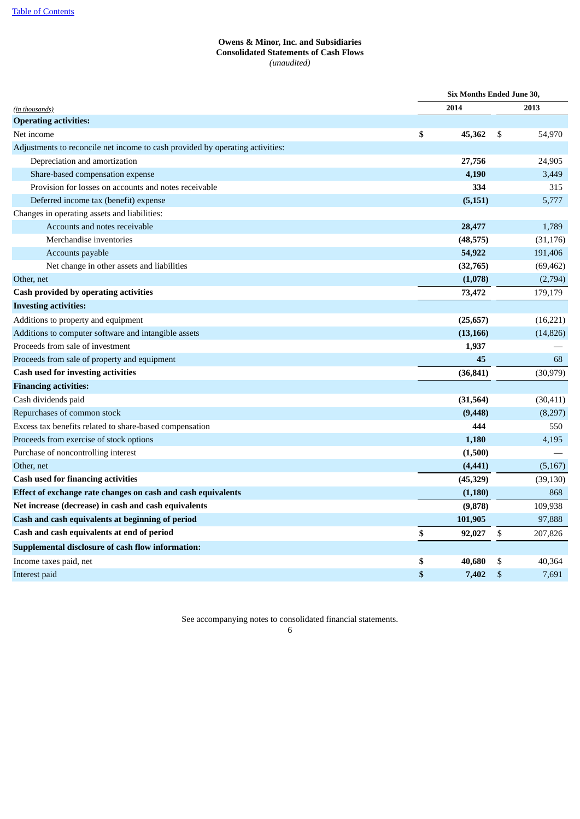## **Owens & Minor, Inc. and Subsidiaries Consolidated Statements of Cash Flows** *(unaudited)*

|                                                                               |              | <b>Six Months Ended June 30,</b> |           |  |
|-------------------------------------------------------------------------------|--------------|----------------------------------|-----------|--|
| (in thousands)                                                                | 2014         | 2013                             |           |  |
| <b>Operating activities:</b>                                                  |              |                                  |           |  |
| Net income                                                                    | \$<br>45,362 | \$                               | 54,970    |  |
| Adjustments to reconcile net income to cash provided by operating activities: |              |                                  |           |  |
| Depreciation and amortization                                                 | 27,756       |                                  | 24,905    |  |
| Share-based compensation expense                                              | 4,190        |                                  | 3,449     |  |
| Provision for losses on accounts and notes receivable                         | 334          |                                  | 315       |  |
| Deferred income tax (benefit) expense                                         | (5, 151)     |                                  | 5,777     |  |
| Changes in operating assets and liabilities:                                  |              |                                  |           |  |
| Accounts and notes receivable                                                 | 28,477       |                                  | 1,789     |  |
| Merchandise inventories                                                       | (48, 575)    |                                  | (31, 176) |  |
| Accounts payable                                                              | 54,922       |                                  | 191,406   |  |
| Net change in other assets and liabilities                                    | (32,765)     |                                  | (69, 462) |  |
| Other, net                                                                    | (1,078)      |                                  | (2,794)   |  |
| Cash provided by operating activities                                         | 73,472       |                                  | 179,179   |  |
| <b>Investing activities:</b>                                                  |              |                                  |           |  |
| Additions to property and equipment                                           | (25, 657)    |                                  | (16,221)  |  |
| Additions to computer software and intangible assets                          | (13, 166)    |                                  | (14, 826) |  |
| Proceeds from sale of investment                                              | 1,937        |                                  |           |  |
| Proceeds from sale of property and equipment                                  | 45           |                                  | 68        |  |
| <b>Cash used for investing activities</b>                                     | (36, 841)    |                                  | (30, 979) |  |
| <b>Financing activities:</b>                                                  |              |                                  |           |  |
| Cash dividends paid                                                           | (31, 564)    |                                  | (30, 411) |  |
| Repurchases of common stock                                                   | (9, 448)     |                                  | (8,297)   |  |
| Excess tax benefits related to share-based compensation                       | 444          |                                  | 550       |  |
| Proceeds from exercise of stock options                                       | 1,180        |                                  | 4,195     |  |
| Purchase of noncontrolling interest                                           | (1,500)      |                                  |           |  |
| Other, net                                                                    | (4, 441)     |                                  | (5,167)   |  |
| <b>Cash used for financing activities</b>                                     | (45, 329)    |                                  | (39, 130) |  |
| Effect of exchange rate changes on cash and cash equivalents                  | (1, 180)     |                                  | 868       |  |
| Net increase (decrease) in cash and cash equivalents                          | (9,878)      |                                  | 109,938   |  |
| Cash and cash equivalents at beginning of period                              | 101,905      |                                  | 97,888    |  |
| Cash and cash equivalents at end of period                                    | \$<br>92,027 | \$                               | 207,826   |  |
| Supplemental disclosure of cash flow information:                             |              |                                  |           |  |
| Income taxes paid, net                                                        | \$<br>40,680 | \$                               | 40,364    |  |
| Interest paid                                                                 | \$<br>7,402  | \$                               | 7,691     |  |

<span id="page-5-0"></span>See accompanying notes to consolidated financial statements.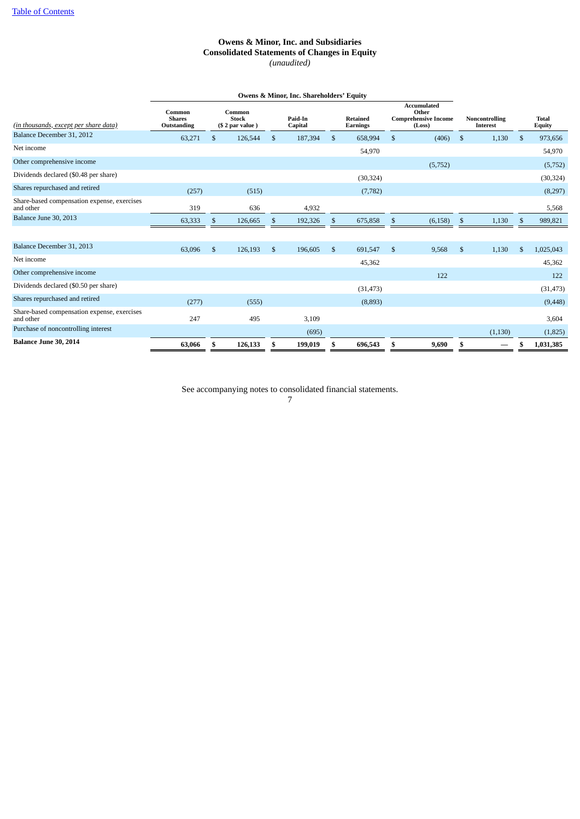# **Owens & Minor, Inc. and Subsidiaries Consolidated Statements of Changes in Equity** *(unaudited)*

| Owens & Minor, Inc. Shareholders' Equity                 |                                        |                |                                           |    |                    |    |                                    |              |                                                                      |                |                                   |                |                        |
|----------------------------------------------------------|----------------------------------------|----------------|-------------------------------------------|----|--------------------|----|------------------------------------|--------------|----------------------------------------------------------------------|----------------|-----------------------------------|----------------|------------------------|
| (in thousands, except per share data)                    | Common<br><b>Shares</b><br>Outstanding |                | Common<br><b>Stock</b><br>$$2$ par value) |    | Paid-In<br>Capital |    | <b>Retained</b><br><b>Earnings</b> |              | <b>Accumulated</b><br>Other<br><b>Comprehensive Income</b><br>(Loss) |                | Noncontrolling<br><b>Interest</b> |                | <b>Total</b><br>Equity |
| Balance December 31, 2012                                | 63,271                                 | \$             | 126,544                                   | \$ | 187,394            | \$ | 658,994                            | $\mathbb{S}$ | (406)                                                                | $\mathfrak{s}$ | 1,130                             | $\mathfrak{s}$ | 973,656                |
| Net income                                               |                                        |                |                                           |    |                    |    | 54,970                             |              |                                                                      |                |                                   |                | 54,970                 |
| Other comprehensive income                               |                                        |                |                                           |    |                    |    |                                    |              | (5, 752)                                                             |                |                                   |                | (5,752)                |
| Dividends declared (\$0.48 per share)                    |                                        |                |                                           |    |                    |    | (30, 324)                          |              |                                                                      |                |                                   |                | (30, 324)              |
| Shares repurchased and retired                           | (257)                                  |                | (515)                                     |    |                    |    | (7, 782)                           |              |                                                                      |                |                                   |                | (8,297)                |
| Share-based compensation expense, exercises<br>and other | 319                                    |                | 636                                       |    | 4,932              |    |                                    |              |                                                                      |                |                                   |                | 5,568                  |
| Balance June 30, 2013                                    | 63,333                                 | $\mathfrak{S}$ | 126,665                                   | \$ | 192,326            | \$ | 675,858                            | \$           | (6, 158)                                                             | $\mathfrak{s}$ | 1,130                             | $\mathfrak{S}$ | 989,821                |
|                                                          |                                        |                |                                           |    |                    |    |                                    |              |                                                                      |                |                                   |                |                        |
| Balance December 31, 2013                                | 63,096                                 | $\mathfrak{S}$ | 126,193                                   | \$ | 196,605            | \$ | 691,547                            | \$           | 9,568                                                                | \$             | 1,130                             | \$             | 1,025,043              |
| Net income                                               |                                        |                |                                           |    |                    |    | 45,362                             |              |                                                                      |                |                                   |                | 45,362                 |
| Other comprehensive income                               |                                        |                |                                           |    |                    |    |                                    |              | 122                                                                  |                |                                   |                | 122                    |
| Dividends declared (\$0.50 per share)                    |                                        |                |                                           |    |                    |    | (31, 473)                          |              |                                                                      |                |                                   |                | (31, 473)              |
| Shares repurchased and retired                           | (277)                                  |                | (555)                                     |    |                    |    | (8,893)                            |              |                                                                      |                |                                   |                | (9, 448)               |
| Share-based compensation expense, exercises<br>and other | 247                                    |                | 495                                       |    | 3,109              |    |                                    |              |                                                                      |                |                                   |                | 3,604                  |
| Purchase of noncontrolling interest                      |                                        |                |                                           |    | (695)              |    |                                    |              |                                                                      |                | (1,130)                           |                | (1,825)                |
| Balance June 30, 2014                                    | 63,066                                 | \$             | 126,133                                   | \$ | 199,019            | \$ | 696,543                            | S            | 9,690                                                                | S              |                                   |                | 1,031,385              |

<span id="page-6-0"></span>See accompanying notes to consolidated financial statements.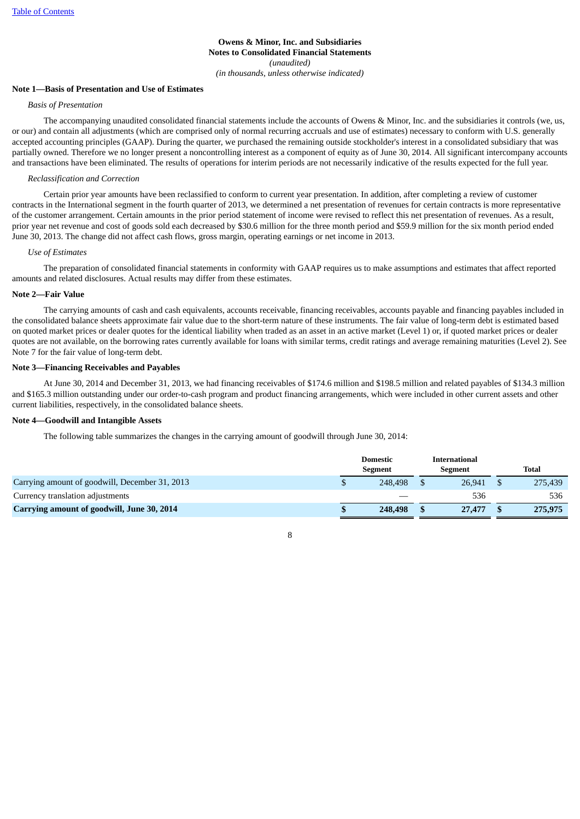# **Owens & Minor, Inc. and Subsidiaries Notes to Consolidated Financial Statements** *(unaudited) (in thousands, unless otherwise indicated)*

### **Note 1—Basis of Presentation and Use of Estimates**

### *Basis of Presentation*

The accompanying unaudited consolidated financial statements include the accounts of Owens & Minor, Inc. and the subsidiaries it controls (we, us, or our) and contain all adjustments (which are comprised only of normal recurring accruals and use of estimates) necessary to conform with U.S. generally accepted accounting principles (GAAP). During the quarter, we purchased the remaining outside stockholder's interest in a consolidated subsidiary that was partially owned. Therefore we no longer present a noncontrolling interest as a component of equity as of June 30, 2014. All significant intercompany accounts and transactions have been eliminated. The results of operations for interim periods are not necessarily indicative of the results expected for the full year.

### *Reclassification and Correction*

Certain prior year amounts have been reclassified to conform to current year presentation. In addition, after completing a review of customer contracts in the International segment in the fourth quarter of 2013, we determined a net presentation of revenues for certain contracts is more representative of the customer arrangement. Certain amounts in the prior period statement of income were revised to reflect this net presentation of revenues. As a result, prior year net revenue and cost of goods sold each decreased by \$30.6 million for the three month period and \$59.9 million for the six month period ended June 30, 2013. The change did not affect cash flows, gross margin, operating earnings or net income in 2013.

### *Use of Estimates*

The preparation of consolidated financial statements in conformity with GAAP requires us to make assumptions and estimates that affect reported amounts and related disclosures. Actual results may differ from these estimates.

### **Note 2—Fair Value**

The carrying amounts of cash and cash equivalents, accounts receivable, financing receivables, accounts payable and financing payables included in the consolidated balance sheets approximate fair value due to the short-term nature of these instruments. The fair value of long-term debt is estimated based on quoted market prices or dealer quotes for the identical liability when traded as an asset in an active market (Level 1) or, if quoted market prices or dealer quotes are not available, on the borrowing rates currently available for loans with similar terms, credit ratings and average remaining maturities (Level 2). See Note 7 for the fair value of long-term debt.

### **Note 3—Financing Receivables and Payables**

At June 30, 2014 and December 31, 2013, we had financing receivables of \$174.6 million and \$198.5 million and related payables of \$134.3 million and \$165.3 million outstanding under our order-to-cash program and product financing arrangements, which were included in other current assets and other current liabilities, respectively, in the consolidated balance sheets.

### **Note 4—Goodwill and Intangible Assets**

The following table summarizes the changes in the carrying amount of goodwill through June 30, 2014:

|                                                | <b>Domestic</b><br>Segment | <b>International</b><br>Segment | <b>Total</b> |
|------------------------------------------------|----------------------------|---------------------------------|--------------|
| Carrying amount of goodwill, December 31, 2013 | 248,498                    | 26.941                          | 275,439      |
| Currency translation adjustments               |                            | 536                             | 536          |
| Carrying amount of goodwill, June 30, 2014     | 248,498                    | 27,477                          | 275,975      |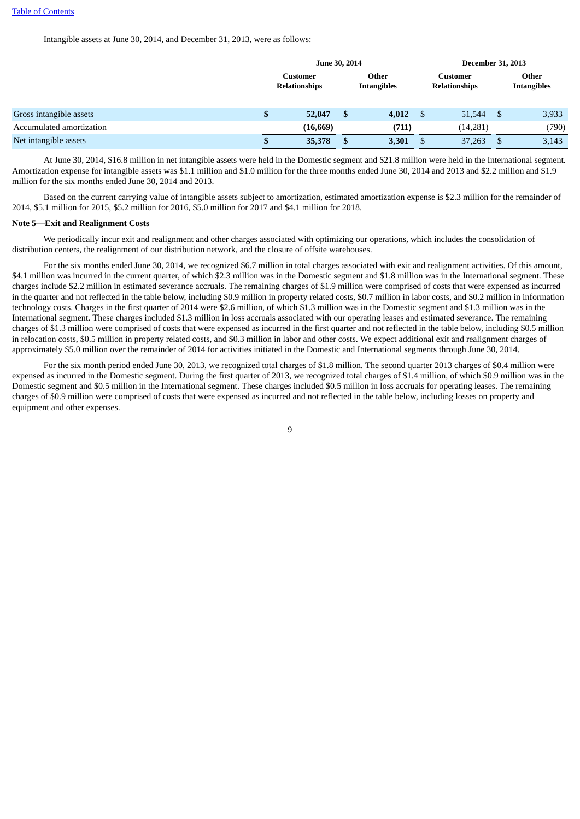Intangible assets at June 30, 2014, and December 31, 2013, were as follows:

|                          | <b>December 31, 2013</b><br><b>June 30, 2014</b> |  |                             |    |                                         |      |                             |  |
|--------------------------|--------------------------------------------------|--|-----------------------------|----|-----------------------------------------|------|-----------------------------|--|
|                          | Customer<br><b>Relationships</b>                 |  | Other<br><b>Intangibles</b> |    | <b>Customer</b><br><b>Relationships</b> |      | Other<br><b>Intangibles</b> |  |
|                          |                                                  |  |                             |    |                                         |      |                             |  |
| Gross intangible assets  | \$<br>52,047                                     |  | 4,012                       | S  | 51,544                                  | - \$ | 3,933                       |  |
| Accumulated amortization | (16, 669)                                        |  | (711)                       |    | (14, 281)                               |      | (790)                       |  |
| Net intangible assets    | 35,378                                           |  | 3,301                       | \$ | 37,263                                  |      | 3,143                       |  |

At June 30, 2014, \$16.8 million in net intangible assets were held in the Domestic segment and \$21.8 million were held in the International segment. Amortization expense for intangible assets was \$1.1 million and \$1.0 million for the three months ended June 30, 2014 and 2013 and \$2.2 million and \$1.9 million for the six months ended June 30, 2014 and 2013.

Based on the current carrying value of intangible assets subject to amortization, estimated amortization expense is \$2.3 million for the remainder of 2014, \$5.1 million for 2015, \$5.2 million for 2016, \$5.0 million for 2017 and \$4.1 million for 2018.

### **Note 5—Exit and Realignment Costs**

We periodically incur exit and realignment and other charges associated with optimizing our operations, which includes the consolidation of distribution centers, the realignment of our distribution network, and the closure of offsite warehouses.

For the six months ended June 30, 2014, we recognized \$6.7 million in total charges associated with exit and realignment activities. Of this amount, \$4.1 million was incurred in the current quarter, of which \$2.3 million was in the Domestic segment and \$1.8 million was in the International segment. These charges include \$2.2 million in estimated severance accruals. The remaining charges of \$1.9 million were comprised of costs that were expensed as incurred in the quarter and not reflected in the table below, including \$0.9 million in property related costs, \$0.7 million in labor costs, and \$0.2 million in information technology costs. Charges in the first quarter of 2014 were \$2.6 million, of which \$1.3 million was in the Domestic segment and \$1.3 million was in the International segment. These charges included \$1.3 million in loss accruals associated with our operating leases and estimated severance. The remaining charges of \$1.3 million were comprised of costs that were expensed as incurred in the first quarter and not reflected in the table below, including \$0.5 million in relocation costs, \$0.5 million in property related costs, and \$0.3 million in labor and other costs. We expect additional exit and realignment charges of approximately \$5.0 million over the remainder of 2014 for activities initiated in the Domestic and International segments through June 30, 2014.

For the six month period ended June 30, 2013, we recognized total charges of \$1.8 million. The second quarter 2013 charges of \$0.4 million were expensed as incurred in the Domestic segment. During the first quarter of 2013, we recognized total charges of \$1.4 million, of which \$0.9 million was in the Domestic segment and \$0.5 million in the International segment. These charges included \$0.5 million in loss accruals for operating leases. The remaining charges of \$0.9 million were comprised of costs that were expensed as incurred and not reflected in the table below, including losses on property and equipment and other expenses.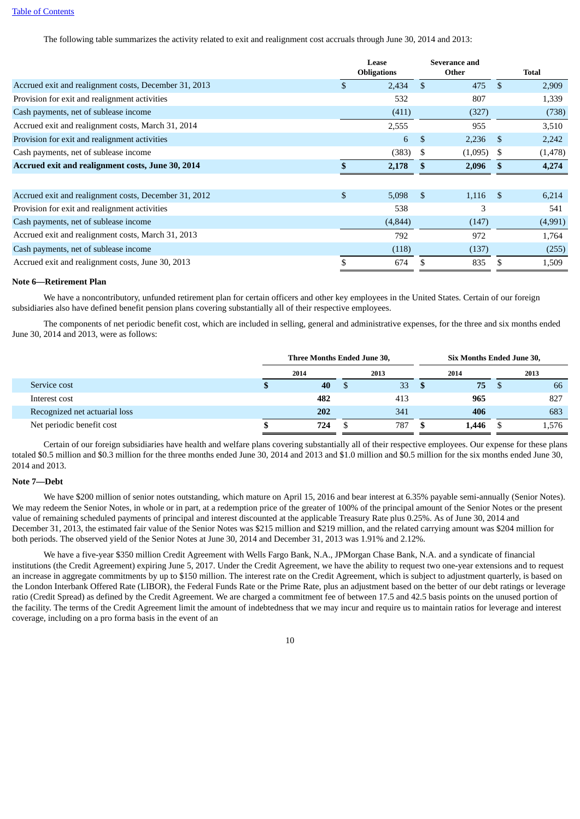The following table summarizes the activity related to exit and realignment cost accruals through June 30, 2014 and 2013:

|                                                       |     | Lease<br><b>Obligations</b> |               | <b>Severance and</b><br>Other |      | <b>Total</b> |
|-------------------------------------------------------|-----|-----------------------------|---------------|-------------------------------|------|--------------|
| Accrued exit and realignment costs, December 31, 2013 | \$. | 2,434                       | <sup>\$</sup> | 475                           | -\$  | 2,909        |
| Provision for exit and realignment activities         |     | 532                         |               | 807                           |      | 1,339        |
| Cash payments, net of sublease income                 |     | (411)                       |               | (327)                         |      | (738)        |
| Accrued exit and realignment costs, March 31, 2014    |     | 2,555                       |               | 955                           |      | 3,510        |
| Provision for exit and realignment activities         |     | 6                           | \$            | 2,236                         | -S   | 2,242        |
| Cash payments, net of sublease income                 |     | (383)                       | \$            | (1,095)                       | - \$ | (1, 478)     |
| Accrued exit and realignment costs, June 30, 2014     |     | 2,178                       | \$.           | 2,096                         | -\$  | 4,274        |
|                                                       |     |                             |               |                               |      |              |
| Accrued exit and realignment costs, December 31, 2012 | \$  | 5,098                       | \$            | 1,116                         | - \$ | 6,214        |
| Provision for exit and realignment activities         |     | 538                         |               | 3                             |      | 541          |
| Cash payments, net of sublease income                 |     | (4,844)                     |               | (147)                         |      | (4,991)      |
| Accrued exit and realignment costs, March 31, 2013    |     | 792                         |               | 972                           |      | 1,764        |
| Cash payments, net of sublease income                 |     | (118)                       |               | (137)                         |      | (255)        |
| Accrued exit and realignment costs, June 30, 2013     | \$  | 674                         |               | 835                           |      | 1,509        |

### **Note 6—Retirement Plan**

We have a noncontributory, unfunded retirement plan for certain officers and other key employees in the United States. Certain of our foreign subsidiaries also have defined benefit pension plans covering substantially all of their respective employees.

The components of net periodic benefit cost, which are included in selling, general and administrative expenses, for the three and six months ended June 30, 2014 and 2013, were as follows:

|                               | Three Months Ended June 30, |      |  |      |  | Six Months Ended June 30, |  |       |  |
|-------------------------------|-----------------------------|------|--|------|--|---------------------------|--|-------|--|
|                               |                             | 2014 |  | 2013 |  | 2014                      |  | 2013  |  |
| Service cost                  |                             | 40   |  | 33   |  | 75                        |  | 66    |  |
| Interest cost                 |                             | 482  |  | 413  |  | 965                       |  | 827   |  |
| Recognized net actuarial loss |                             | 202  |  | 341  |  | 406                       |  | 683   |  |
| Net periodic benefit cost     |                             | 724  |  | 787  |  | 1.446                     |  | 1,576 |  |

Certain of our foreign subsidiaries have health and welfare plans covering substantially all of their respective employees. Our expense for these plans totaled \$0.5 million and \$0.3 million for the three months ended June 30, 2014 and 2013 and \$1.0 million and \$0.5 million for the six months ended June 30, 2014 and 2013.

#### **Note 7—Debt**

We have \$200 million of senior notes outstanding, which mature on April 15, 2016 and bear interest at 6.35% payable semi-annually (Senior Notes). We may redeem the Senior Notes, in whole or in part, at a redemption price of the greater of 100% of the principal amount of the Senior Notes or the present value of remaining scheduled payments of principal and interest discounted at the applicable Treasury Rate plus 0.25%. As of June 30, 2014 and December 31, 2013, the estimated fair value of the Senior Notes was \$215 million and \$219 million, and the related carrying amount was \$204 million for both periods. The observed yield of the Senior Notes at June 30, 2014 and December 31, 2013 was 1.91% and 2.12%.

We have a five-year \$350 million Credit Agreement with Wells Fargo Bank, N.A., JPMorgan Chase Bank, N.A. and a syndicate of financial institutions (the Credit Agreement) expiring June 5, 2017. Under the Credit Agreement, we have the ability to request two one-year extensions and to request an increase in aggregate commitments by up to \$150 million. The interest rate on the Credit Agreement, which is subject to adjustment quarterly, is based on the London Interbank Offered Rate (LIBOR), the Federal Funds Rate or the Prime Rate, plus an adjustment based on the better of our debt ratings or leverage ratio (Credit Spread) as defined by the Credit Agreement. We are charged a commitment fee of between 17.5 and 42.5 basis points on the unused portion of the facility. The terms of the Credit Agreement limit the amount of indebtedness that we may incur and require us to maintain ratios for leverage and interest coverage, including on a pro forma basis in the event of an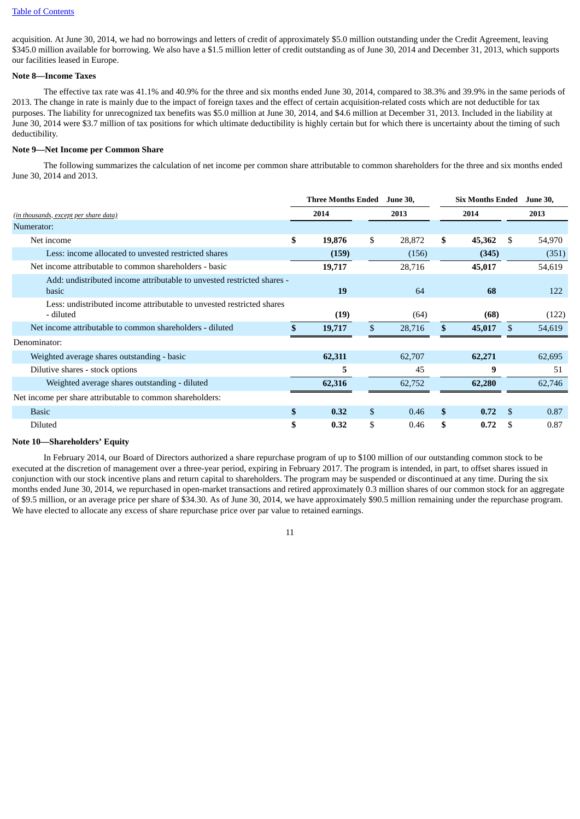acquisition. At June 30, 2014, we had no borrowings and letters of credit of approximately \$5.0 million outstanding under the Credit Agreement, leaving \$345.0 million available for borrowing. We also have a \$1.5 million letter of credit outstanding as of June 30, 2014 and December 31, 2013, which supports our facilities leased in Europe.

### **Note 8—Income Taxes**

The effective tax rate was 41.1% and 40.9% for the three and six months ended June 30, 2014, compared to 38.3% and 39.9% in the same periods of 2013. The change in rate is mainly due to the impact of foreign taxes and the effect of certain acquisition-related costs which are not deductible for tax purposes. The liability for unrecognized tax benefits was \$5.0 million at June 30, 2014, and \$4.6 million at December 31, 2013. Included in the liability at June 30, 2014 were \$3.7 million of tax positions for which ultimate deductibility is highly certain but for which there is uncertainty about the timing of such deductibility.

### **Note 9—Net Income per Common Share**

The following summarizes the calculation of net income per common share attributable to common shareholders for the three and six months ended June 30, 2014 and 2013.

|                                                                                    | <b>Three Months Ended</b><br><b>Six Months Ended</b><br><b>June 30,</b> |           |                |        |              |        |     | <b>June 30,</b> |  |  |
|------------------------------------------------------------------------------------|-------------------------------------------------------------------------|-----------|----------------|--------|--------------|--------|-----|-----------------|--|--|
| (in thousands, except per share data)                                              |                                                                         | 2014      |                | 2013   |              | 2014   |     | 2013            |  |  |
| Numerator:                                                                         |                                                                         |           |                |        |              |        |     |                 |  |  |
| Net income                                                                         | \$                                                                      | 19,876    | \$             | 28,872 | \$           | 45,362 | \$  | 54,970          |  |  |
| Less: income allocated to unvested restricted shares                               |                                                                         | (159)     |                | (156)  |              | (345)  |     | (351)           |  |  |
| Net income attributable to common shareholders - basic                             |                                                                         | 19,717    |                | 28,716 |              | 45,017 |     | 54,619          |  |  |
| Add: undistributed income attributable to unvested restricted shares -<br>basic    |                                                                         | <b>19</b> |                | 64     |              | 68     |     | 122             |  |  |
| Less: undistributed income attributable to unvested restricted shares<br>- diluted |                                                                         | (19)      |                | (64)   |              | (68)   |     | (122)           |  |  |
| Net income attributable to common shareholders - diluted                           | \$                                                                      | 19,717    | \$             | 28,716 | $\mathbf{s}$ | 45,017 | \$. | 54,619          |  |  |
| Denominator:                                                                       |                                                                         |           |                |        |              |        |     |                 |  |  |
| Weighted average shares outstanding - basic                                        |                                                                         | 62,311    |                | 62,707 |              | 62,271 |     | 62,695          |  |  |
| Dilutive shares - stock options                                                    |                                                                         | 5         |                | 45     |              | 9      |     | 51              |  |  |
| Weighted average shares outstanding - diluted                                      |                                                                         | 62,316    |                | 62,752 |              | 62,280 |     | 62,746          |  |  |
| Net income per share attributable to common shareholders:                          |                                                                         |           |                |        |              |        |     |                 |  |  |
| <b>Basic</b>                                                                       | \$                                                                      | 0.32      | $\mathfrak{S}$ | 0.46   | \$           | 0.72   | \$  | 0.87            |  |  |
| <b>Diluted</b>                                                                     | \$                                                                      | 0.32      | \$             | 0.46   | \$           | 0.72   | \$  | 0.87            |  |  |

### **Note 10—Shareholders' Equity**

In February 2014, our Board of Directors authorized a share repurchase program of up to \$100 million of our outstanding common stock to be executed at the discretion of management over a three-year period, expiring in February 2017. The program is intended, in part, to offset shares issued in conjunction with our stock incentive plans and return capital to shareholders. The program may be suspended or discontinued at any time. During the six months ended June 30, 2014, we repurchased in open-market transactions and retired approximately 0.3 million shares of our common stock for an aggregate of \$9.5 million, or an average price per share of \$34.30. As of June 30, 2014, we have approximately \$90.5 million remaining under the repurchase program. We have elected to allocate any excess of share repurchase price over par value to retained earnings.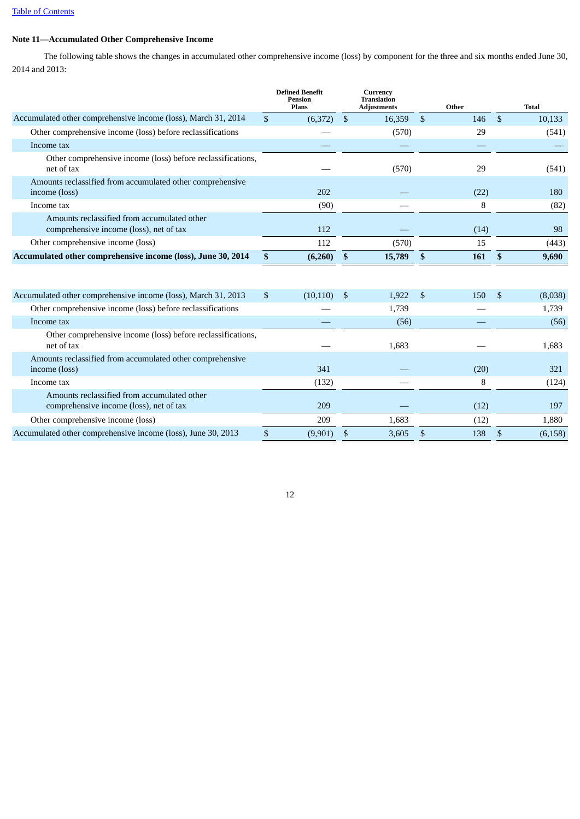# **Note 11—Accumulated Other Comprehensive Income**

The following table shows the changes in accumulated other comprehensive income (loss) by component for the three and six months ended June 30, 2014 and 2013:

|                                                                                        |              | <b>Defined Benefit</b><br><b>Pension</b><br><b>Plans</b> |                | Currency<br><b>Translation</b><br><b>Adjustments</b> |                | Other |                | <b>Total</b> |
|----------------------------------------------------------------------------------------|--------------|----------------------------------------------------------|----------------|------------------------------------------------------|----------------|-------|----------------|--------------|
| Accumulated other comprehensive income (loss), March 31, 2014                          | $\mathbb{S}$ | (6,372)                                                  | $\mathbb{S}$   | 16,359                                               | $\mathbb{S}$   | 146   | $\mathfrak{S}$ | 10,133       |
| Other comprehensive income (loss) before reclassifications                             |              |                                                          |                | (570)                                                |                | 29    |                | (541)        |
| Income tax                                                                             |              |                                                          |                |                                                      |                |       |                |              |
| Other comprehensive income (loss) before reclassifications,<br>net of tax              |              |                                                          |                | (570)                                                |                | 29    |                | (541)        |
| Amounts reclassified from accumulated other comprehensive<br>income (loss)             |              | 202                                                      |                |                                                      |                | (22)  |                | 180          |
| Income tax                                                                             |              | (90)                                                     |                |                                                      |                | 8     |                | (82)         |
| Amounts reclassified from accumulated other<br>comprehensive income (loss), net of tax |              | 112                                                      |                |                                                      |                | (14)  |                | 98           |
| Other comprehensive income (loss)                                                      |              | 112                                                      |                | (570)                                                |                | 15    |                | (443)        |
| Accumulated other comprehensive income (loss), June 30, 2014                           | \$           | (6,260)                                                  | \$             | 15,789                                               | \$             | 161   | \$             | 9,690        |
|                                                                                        |              |                                                          |                |                                                      |                |       |                |              |
| Accumulated other comprehensive income (loss), March 31, 2013                          | $\mathbb{S}$ | (10, 110)                                                | $\mathfrak{s}$ | 1,922                                                | $\mathfrak{s}$ | 150   | $\mathfrak{L}$ | (8,038)      |
| Other comprehensive income (loss) before reclassifications                             |              |                                                          |                | 1,739                                                |                |       |                | 1,739        |
| Income tax                                                                             |              |                                                          |                | (56)                                                 |                |       |                | (56)         |
| Other comprehensive income (loss) before reclassifications,<br>net of tax              |              |                                                          |                | 1,683                                                |                |       |                | 1,683        |
| Amounts reclassified from accumulated other comprehensive<br>income (loss)             |              | 341                                                      |                |                                                      |                | (20)  |                | 321          |
| Income tax                                                                             |              | (132)                                                    |                |                                                      |                | 8     |                | (124)        |
| Amounts reclassified from accumulated other<br>comprehensive income (loss), net of tax |              | 209                                                      |                |                                                      |                | (12)  |                | 197          |
| Other comprehensive income (loss)                                                      |              | 209                                                      |                | 1,683                                                |                | (12)  |                | 1,880        |
| Accumulated other comprehensive income (loss), June 30, 2013                           | \$           | (9,901)                                                  | $\mathfrak{S}$ | 3,605                                                | \$             | 138   | \$             | (6, 158)     |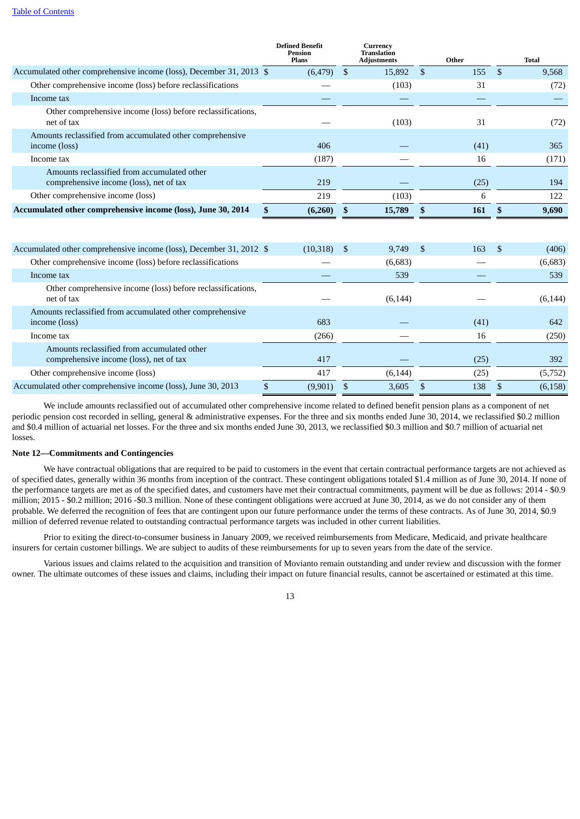|                                                                                        |              | <b>Defined Benefit</b><br><b>Pension</b><br><b>Plans</b> |              | Currency<br><b>Translation</b><br><b>Adjustments</b> |                | Other |                | <b>Total</b> |
|----------------------------------------------------------------------------------------|--------------|----------------------------------------------------------|--------------|------------------------------------------------------|----------------|-------|----------------|--------------|
| Accumulated other comprehensive income (loss), December 31, 2013 \$                    |              | (6, 479)                                                 | $\mathbb{S}$ | 15.892                                               | $\mathfrak{S}$ | 155   | $\mathbb{S}$   | 9,568        |
| Other comprehensive income (loss) before reclassifications                             |              |                                                          |              | (103)                                                |                | 31    |                | (72)         |
| Income tax                                                                             |              |                                                          |              |                                                      |                |       |                |              |
| Other comprehensive income (loss) before reclassifications,<br>net of tax              |              |                                                          |              | (103)                                                |                | 31    |                | (72)         |
| Amounts reclassified from accumulated other comprehensive<br>income (loss)             |              | 406                                                      |              |                                                      |                | (41)  |                | 365          |
| Income tax                                                                             |              | (187)                                                    |              |                                                      |                | 16    |                | (171)        |
| Amounts reclassified from accumulated other<br>comprehensive income (loss), net of tax |              | 219                                                      |              |                                                      |                | (25)  |                | 194          |
| Other comprehensive income (loss)                                                      |              | 219                                                      |              | (103)                                                |                | 6     |                | 122          |
| Accumulated other comprehensive income (loss), June 30, 2014                           | \$           | (6,260)                                                  | \$           | 15,789                                               | \$             | 161   | \$             | 9,690        |
|                                                                                        |              |                                                          |              |                                                      |                |       |                |              |
| Accumulated other comprehensive income (loss), December 31, 2012 \$                    |              | (10,318)                                                 | \$           | 9,749                                                | $\mathfrak{S}$ | 163   | $\mathfrak{L}$ | (406)        |
| Other comprehensive income (loss) before reclassifications                             |              |                                                          |              | (6,683)                                              |                |       |                | (6,683)      |
| Income tax                                                                             |              |                                                          |              | 539                                                  |                |       |                | 539          |
| Other comprehensive income (loss) before reclassifications,<br>net of tax              |              |                                                          |              | (6, 144)                                             |                |       |                | (6, 144)     |
| Amounts reclassified from accumulated other comprehensive<br>income (loss)             |              | 683                                                      |              |                                                      |                | (41)  |                | 642          |
| Income tax                                                                             |              | (266)                                                    |              |                                                      |                | 16    |                | (250)        |
| Amounts reclassified from accumulated other<br>comprehensive income (loss), net of tax |              | 417                                                      |              |                                                      |                | (25)  |                | 392          |
| Other comprehensive income (loss)                                                      |              | 417                                                      |              | (6, 144)                                             |                | (25)  |                | (5,752)      |
| Accumulated other comprehensive income (loss), June 30, 2013                           | $\mathbb{S}$ | (9,901)                                                  | \$           | 3,605                                                | \$             | 138   | \$             | (6, 158)     |

We include amounts reclassified out of accumulated other comprehensive income related to defined benefit pension plans as a component of net periodic pension cost recorded in selling, general & administrative expenses. For the three and six months ended June 30, 2014, we reclassified \$0.2 million and \$0.4 million of actuarial net losses. For the three and six months ended June 30, 2013, we reclassified \$0.3 million and \$0.7 million of actuarial net losses.

### **Note 12—Commitments and Contingencies**

We have contractual obligations that are required to be paid to customers in the event that certain contractual performance targets are not achieved as of specified dates, generally within 36 months from inception of the contract. These contingent obligations totaled \$1.4 million as of June 30, 2014. If none of the performance targets are met as of the specified dates, and customers have met their contractual commitments, payment will be due as follows: 2014 - \$0.9 million; 2015 - \$0.2 million; 2016 -\$0.3 million. None of these contingent obligations were accrued at June 30, 2014, as we do not consider any of them probable. We deferred the recognition of fees that are contingent upon our future performance under the terms of these contracts. As of June 30, 2014, \$0.9 million of deferred revenue related to outstanding contractual performance targets was included in other current liabilities.

Prior to exiting the direct-to-consumer business in January 2009, we received reimbursements from Medicare, Medicaid, and private healthcare insurers for certain customer billings. We are subject to audits of these reimbursements for up to seven years from the date of the service.

Various issues and claims related to the acquisition and transition of Movianto remain outstanding and under review and discussion with the former owner. The ultimate outcomes of these issues and claims, including their impact on future financial results, cannot be ascertained or estimated at this time.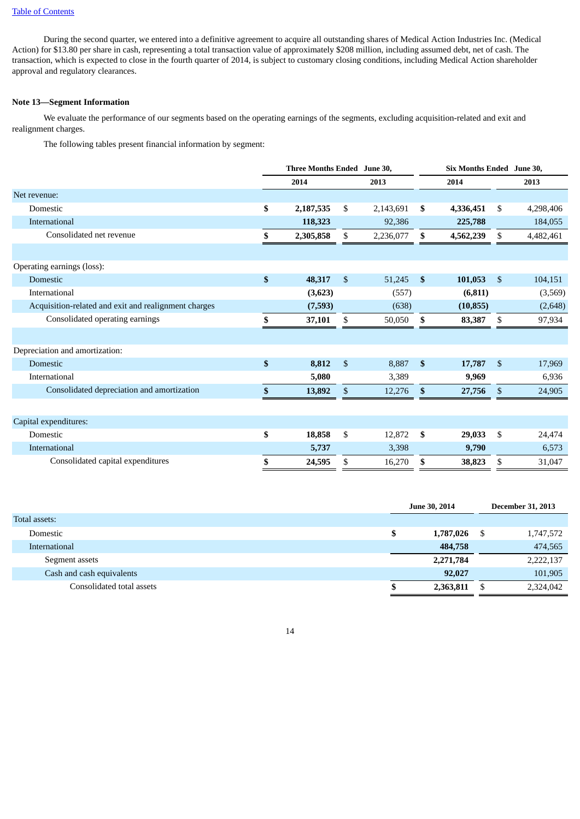During the second quarter, we entered into a definitive agreement to acquire all outstanding shares of Medical Action Industries Inc. (Medical Action) for \$13.80 per share in cash, representing a total transaction value of approximately \$208 million, including assumed debt, net of cash. The transaction, which is expected to close in the fourth quarter of 2014, is subject to customary closing conditions, including Medical Action shareholder approval and regulatory clearances.

# **Note 13—Segment Information**

We evaluate the performance of our segments based on the operating earnings of the segments, excluding acquisition-related and exit and realignment charges.

The following tables present financial information by segment:

|                                                      | Three Months Ended June 30, |                |           | Six Months Ended June 30, |           |                |           |
|------------------------------------------------------|-----------------------------|----------------|-----------|---------------------------|-----------|----------------|-----------|
|                                                      | 2014                        |                | 2013      |                           | 2014      |                | 2013      |
| Net revenue:                                         |                             |                |           |                           |           |                |           |
| Domestic                                             | \$<br>2,187,535             | \$             | 2,143,691 | \$                        | 4,336,451 | \$             | 4,298,406 |
| International                                        | 118,323                     |                | 92,386    |                           | 225,788   |                | 184,055   |
| Consolidated net revenue                             | \$<br>2,305,858             | \$             | 2,236,077 | \$                        | 4,562,239 | \$             | 4,482,461 |
|                                                      |                             |                |           |                           |           |                |           |
| Operating earnings (loss):                           |                             |                |           |                           |           |                |           |
| Domestic                                             | \$<br>48,317                | $\mathfrak{S}$ | 51,245    | \$                        | 101,053   | -\$            | 104,151   |
| International                                        | (3,623)                     |                | (557)     |                           | (6, 811)  |                | (3,569)   |
| Acquisition-related and exit and realignment charges | (7,593)                     |                | (638)     |                           | (10, 855) |                | (2,648)   |
| Consolidated operating earnings                      | \$<br>37,101                | \$             | 50,050    | \$                        | 83,387    | \$             | 97,934    |
|                                                      |                             |                |           |                           |           |                |           |
| Depreciation and amortization:                       |                             |                |           |                           |           |                |           |
| Domestic                                             | \$<br>8,812                 | \$             | 8,887     | $\boldsymbol{\mathsf{s}}$ | 17,787    | $\mathfrak{S}$ | 17,969    |
| International                                        | 5,080                       |                | 3,389     |                           | 9,969     |                | 6,936     |
| Consolidated depreciation and amortization           | \$<br>13,892                | \$             | 12,276    | $\mathbf{s}$              | 27,756    | \$             | 24,905    |
|                                                      |                             |                |           |                           |           |                |           |
| Capital expenditures:                                |                             |                |           |                           |           |                |           |
| Domestic                                             | \$<br>18,858                | \$             | 12,872    | \$                        | 29,033    | \$             | 24,474    |
| International                                        | 5,737                       |                | 3,398     |                           | 9,790     |                | 6,573     |
| Consolidated capital expenditures                    | \$<br>24,595                | \$             | 16,270    | \$                        | 38,823    | \$             | 31,047    |

|                           |    | <b>June 30, 2014</b> |      | <b>December 31, 2013</b> |
|---------------------------|----|----------------------|------|--------------------------|
| Total assets:             |    |                      |      |                          |
| Domestic                  | \$ | 1,787,026            | - \$ | 1,747,572                |
| International             |    | 484,758              |      | 474,565                  |
| Segment assets            |    | 2,271,784            |      | 2,222,137                |
| Cash and cash equivalents |    | 92,027               |      | 101,905                  |
| Consolidated total assets | Ф  | 2,363,811            |      | 2,324,042                |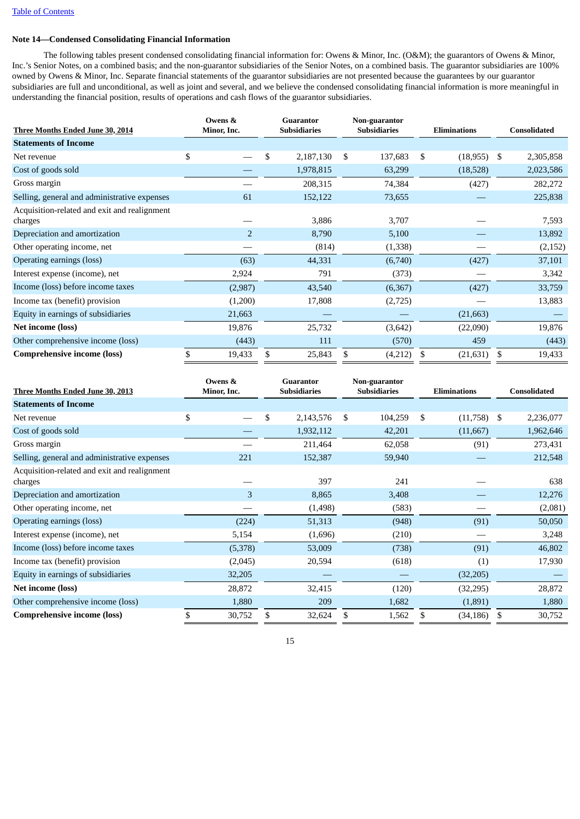# **Note 14—Condensed Consolidating Financial Information**

The following tables present condensed consolidating financial information for: Owens & Minor, Inc. (O&M); the guarantors of Owens & Minor, Inc.'s Senior Notes, on a combined basis; and the non-guarantor subsidiaries of the Senior Notes, on a combined basis. The guarantor subsidiaries are 100% owned by Owens & Minor, Inc. Separate financial statements of the guarantor subsidiaries are not presented because the guarantees by our guarantor subsidiaries are full and unconditional, as well as joint and several, and we believe the condensed consolidating financial information is more meaningful in understanding the financial position, results of operations and cash flows of the guarantor subsidiaries.

| <b>Three Months Ended June 30, 2014</b>                 | Owens &<br>Minor, Inc. | Guarantor<br><b>Subsidiaries</b> | Non-guarantor<br><b>Subsidiaries</b> |    | <b>Eliminations</b> |    | <b>Consolidated</b> |  |
|---------------------------------------------------------|------------------------|----------------------------------|--------------------------------------|----|---------------------|----|---------------------|--|
| <b>Statements of Income</b>                             |                        |                                  |                                      |    |                     |    |                     |  |
| Net revenue                                             | \$                     | \$<br>2,187,130                  | \$<br>137,683                        | \$ | (18, 955)           | -S | 2,305,858           |  |
| Cost of goods sold                                      |                        | 1,978,815                        | 63,299                               |    | (18,528)            |    | 2,023,586           |  |
| Gross margin                                            |                        | 208,315                          | 74,384                               |    | (427)               |    | 282,272             |  |
| Selling, general and administrative expenses            | 61                     | 152,122                          | 73,655                               |    |                     |    | 225,838             |  |
| Acquisition-related and exit and realignment<br>charges |                        | 3,886                            | 3,707                                |    |                     |    | 7,593               |  |
| Depreciation and amortization                           | $\overline{2}$         | 8,790                            | 5,100                                |    |                     |    | 13,892              |  |
| Other operating income, net                             |                        | (814)                            | (1,338)                              |    |                     |    | (2, 152)            |  |
| Operating earnings (loss)                               | (63)                   | 44,331                           | (6,740)                              |    | (427)               |    | 37,101              |  |
| Interest expense (income), net                          | 2,924                  | 791                              | (373)                                |    |                     |    | 3,342               |  |
| Income (loss) before income taxes                       | (2,987)                | 43,540                           | (6,367)                              |    | (427)               |    | 33,759              |  |
| Income tax (benefit) provision                          | (1,200)                | 17,808                           | (2,725)                              |    |                     |    | 13,883              |  |
| Equity in earnings of subsidiaries                      | 21,663                 |                                  |                                      |    | (21, 663)           |    |                     |  |
| <b>Net income (loss)</b>                                | 19,876                 | 25,732                           | (3,642)                              |    | (22,090)            |    | 19,876              |  |
| Other comprehensive income (loss)                       | (443)                  | 111                              | (570)                                |    | 459                 |    | (443)               |  |
| Comprehensive income (loss)                             | \$<br>19,433           | \$<br>25,843                     | \$<br>(4,212)                        | S  | (21, 631)           | \$ | 19,433              |  |

| <b>Three Months Ended June 30, 2013</b>                 | Owens &<br>Minor, Inc. |         | <b>Guarantor</b><br><b>Subsidiaries</b> |    | Non-guarantor<br><b>Subsidiaries</b> | <b>Eliminations</b> |    | <b>Consolidated</b> |
|---------------------------------------------------------|------------------------|---------|-----------------------------------------|----|--------------------------------------|---------------------|----|---------------------|
| <b>Statements of Income</b>                             |                        |         |                                         |    |                                      |                     |    |                     |
| Net revenue                                             | \$                     |         | \$<br>2,143,576                         | \$ | 104,259                              | \$<br>(11,758)      | -S | 2,236,077           |
| Cost of goods sold                                      |                        |         | 1,932,112                               |    | 42,201                               | (11, 667)           |    | 1,962,646           |
| Gross margin                                            |                        |         | 211,464                                 |    | 62,058                               | (91)                |    | 273,431             |
| Selling, general and administrative expenses            |                        | 221     | 152,387                                 |    | 59,940                               |                     |    | 212,548             |
| Acquisition-related and exit and realignment<br>charges |                        |         | 397                                     |    | 241                                  |                     |    | 638                 |
| Depreciation and amortization                           |                        | 3       | 8,865                                   |    | 3,408                                |                     |    | 12,276              |
| Other operating income, net                             |                        |         | (1,498)                                 |    | (583)                                |                     |    | (2,081)             |
| Operating earnings (loss)                               |                        | (224)   | 51,313                                  |    | (948)                                | (91)                |    | 50,050              |
| Interest expense (income), net                          |                        | 5,154   | (1,696)                                 |    | (210)                                |                     |    | 3,248               |
| Income (loss) before income taxes                       |                        | (5,378) | 53,009                                  |    | (738)                                | (91)                |    | 46,802              |
| Income tax (benefit) provision                          |                        | (2,045) | 20,594                                  |    | (618)                                | (1)                 |    | 17,930              |
| Equity in earnings of subsidiaries                      |                        | 32,205  |                                         |    |                                      | (32, 205)           |    |                     |
| <b>Net income (loss)</b>                                |                        | 28,872  | 32,415                                  |    | (120)                                | (32, 295)           |    | 28,872              |
| Other comprehensive income (loss)                       |                        | 1,880   | 209                                     |    | 1,682                                | (1,891)             |    | 1,880               |
| <b>Comprehensive income (loss)</b>                      | \$                     | 30,752  | \$<br>32,624                            | S  | 1,562                                | \$<br>(34, 186)     | \$ | 30,752              |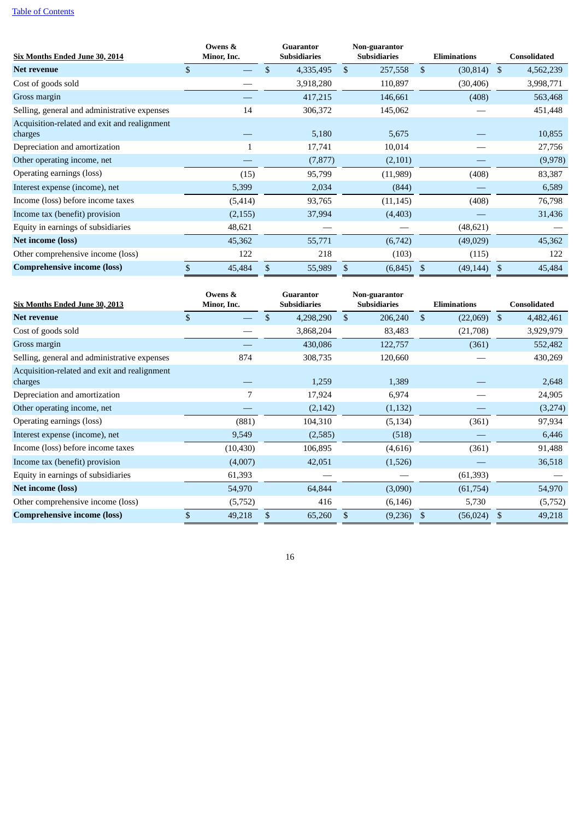# Table of [Contents](#page-0-0)

| <b>Six Months Ended June 30, 2014</b>                   | Owens &<br>Minor, Inc. | <b>Guarantor</b><br><b>Subsidiaries</b> |     | Non-guarantor<br><b>Subsidiaries</b> | <b>Eliminations</b> |     | <b>Consolidated</b> |
|---------------------------------------------------------|------------------------|-----------------------------------------|-----|--------------------------------------|---------------------|-----|---------------------|
| Net revenue                                             | \$                     | 4,335,495                               | \$. | 257,558                              | \$<br>$(30,814)$ \$ |     | 4,562,239           |
| Cost of goods sold                                      |                        | 3,918,280                               |     | 110,897                              | (30, 406)           |     | 3,998,771           |
| Gross margin                                            |                        | 417,215                                 |     | 146,661                              | (408)               |     | 563,468             |
| Selling, general and administrative expenses            | 14                     | 306,372                                 |     | 145,062                              |                     |     | 451,448             |
| Acquisition-related and exit and realignment<br>charges |                        | 5,180                                   |     | 5,675                                |                     |     | 10,855              |
| Depreciation and amortization                           |                        | 17,741                                  |     | 10,014                               |                     |     | 27,756              |
| Other operating income, net                             |                        | (7, 877)                                |     | (2,101)                              |                     |     | (9,978)             |
| Operating earnings (loss)                               | (15)                   | 95,799                                  |     | (11,989)                             | (408)               |     | 83,387              |
| Interest expense (income), net                          | 5,399                  | 2,034                                   |     | (844)                                |                     |     | 6,589               |
| Income (loss) before income taxes                       | (5, 414)               | 93,765                                  |     | (11, 145)                            | (408)               |     | 76,798              |
| Income tax (benefit) provision                          | (2, 155)               | 37,994                                  |     | (4, 403)                             |                     |     | 31,436              |
| Equity in earnings of subsidiaries                      | 48,621                 |                                         |     |                                      | (48, 621)           |     |                     |
| <b>Net income (loss)</b>                                | 45,362                 | 55,771                                  |     | (6,742)                              | (49, 029)           |     | 45,362              |
| Other comprehensive income (loss)                       | 122                    | 218                                     |     | (103)                                | (115)               |     | 122                 |
| <b>Comprehensive income (loss)</b>                      | \$<br>45,484           | \$<br>55,989                            |     | (6, 845)                             | \$<br>(49, 144)     | -\$ | 45,484              |

| Six Months Ended June 30, 2013                          | Owens &<br>Minor, Inc. |           | Guarantor<br><b>Subsidiaries</b> |    | Non-guarantor<br><b>Subsidiaries</b> |     | <b>Eliminations</b> |     | <b>Consolidated</b> |
|---------------------------------------------------------|------------------------|-----------|----------------------------------|----|--------------------------------------|-----|---------------------|-----|---------------------|
| Net revenue                                             | \$                     |           | \$<br>4,298,290                  | \$ | 206,240                              | \$. | $(22,069)$ \$       |     | 4,482,461           |
| Cost of goods sold                                      |                        |           | 3,868,204                        |    | 83,483                               |     | (21,708)            |     | 3,929,979           |
| Gross margin                                            |                        |           | 430,086                          |    | 122,757                              |     | (361)               |     | 552,482             |
| Selling, general and administrative expenses            |                        | 874       | 308,735                          |    | 120,660                              |     |                     |     | 430,269             |
| Acquisition-related and exit and realignment<br>charges |                        |           | 1,259                            |    | 1,389                                |     |                     |     | 2,648               |
| Depreciation and amortization                           |                        | 7         | 17,924                           |    | 6,974                                |     |                     |     | 24,905              |
| Other operating income, net                             |                        |           | (2, 142)                         |    | (1, 132)                             |     |                     |     | (3,274)             |
| Operating earnings (loss)                               |                        | (881)     | 104,310                          |    | (5, 134)                             |     | (361)               |     | 97,934              |
| Interest expense (income), net                          |                        | 9,549     | (2,585)                          |    | (518)                                |     |                     |     | 6,446               |
| Income (loss) before income taxes                       |                        | (10, 430) | 106,895                          |    | (4,616)                              |     | (361)               |     | 91,488              |
| Income tax (benefit) provision                          |                        | (4,007)   | 42,051                           |    | (1,526)                              |     |                     |     | 36,518              |
| Equity in earnings of subsidiaries                      |                        | 61,393    |                                  |    |                                      |     | (61, 393)           |     |                     |
| Net income (loss)                                       |                        | 54,970    | 64,844                           |    | (3,090)                              |     | (61,754)            |     | 54,970              |
| Other comprehensive income (loss)                       |                        | (5,752)   | 416                              |    | (6, 146)                             |     | 5,730               |     | (5, 752)            |
| <b>Comprehensive income (loss)</b>                      |                        | 49,218    | 65,260                           | S  | (9,236)                              | \$  | (56, 024)           | -\$ | 49,218              |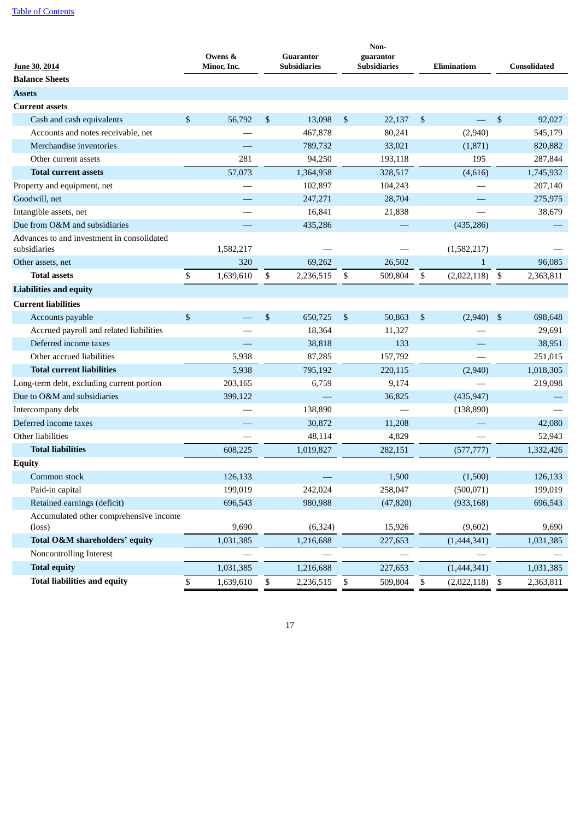| June 30, 2014                                    | Owens &<br>Minor, Inc. | <b>Guarantor</b><br><b>Subsidiaries</b> | Non-<br>guarantor<br><b>Subsidiaries</b> | <b>Eliminations</b> |      | Consolidated |
|--------------------------------------------------|------------------------|-----------------------------------------|------------------------------------------|---------------------|------|--------------|
| <b>Balance Sheets</b>                            |                        |                                         |                                          |                     |      |              |
| <b>Assets</b>                                    |                        |                                         |                                          |                     |      |              |
| <b>Current assets</b>                            |                        |                                         |                                          |                     |      |              |
| Cash and cash equivalents                        | \$<br>56,792           | \$<br>13,098                            | \$<br>22,137                             | \$                  | \$   | 92,027       |
| Accounts and notes receivable, net               |                        | 467,878                                 | 80,241                                   | (2,940)             |      | 545,179      |
| Merchandise inventories                          |                        | 789,732                                 | 33,021                                   | (1,871)             |      | 820,882      |
| Other current assets                             | 281                    | 94,250                                  | 193,118                                  | 195                 |      | 287,844      |
| <b>Total current assets</b>                      | 57,073                 | 1,364,958                               | 328,517                                  | (4,616)             |      | 1,745,932    |
| Property and equipment, net                      |                        | 102,897                                 | 104,243                                  |                     |      | 207,140      |
| Goodwill, net                                    |                        | 247,271                                 | 28,704                                   |                     |      | 275,975      |
| Intangible assets, net                           |                        | 16,841                                  | 21,838                                   |                     |      | 38,679       |
| Due from O&M and subsidiaries                    |                        | 435,286                                 |                                          | (435, 286)          |      |              |
| Advances to and investment in consolidated       |                        |                                         |                                          |                     |      |              |
| subsidiaries                                     | 1,582,217              |                                         |                                          | (1,582,217)         |      |              |
| Other assets, net                                | 320                    | 69,262                                  | 26,502                                   | $\mathbf{1}$        |      | 96,085       |
| <b>Total assets</b>                              | \$<br>1,639,610        | \$<br>2,236,515                         | \$<br>509,804                            | \$<br>(2,022,118)   | \$   | 2,363,811    |
| <b>Liabilities and equity</b>                    |                        |                                         |                                          |                     |      |              |
| <b>Current liabilities</b>                       |                        |                                         |                                          |                     |      |              |
| Accounts payable                                 | \$                     | \$<br>650,725                           | \$<br>50,863                             | \$<br>(2,940)       | \$   | 698,648      |
| Accrued payroll and related liabilities          |                        | 18,364                                  | 11,327                                   |                     |      | 29,691       |
| Deferred income taxes                            |                        | 38,818                                  | 133                                      |                     |      | 38,951       |
| Other accrued liabilities                        | 5,938                  | 87,285                                  | 157,792                                  |                     |      | 251,015      |
| <b>Total current liabilities</b>                 | 5,938                  | 795,192                                 | 220,115                                  | (2,940)             |      | 1,018,305    |
| Long-term debt, excluding current portion        | 203,165                | 6,759                                   | 9,174                                    |                     |      | 219,098      |
| Due to O&M and subsidiaries                      | 399,122                |                                         | 36,825                                   | (435, 947)          |      |              |
| Intercompany debt                                |                        | 138,890                                 |                                          | (138, 890)          |      |              |
| Deferred income taxes                            |                        | 30,872                                  | 11,208                                   |                     |      | 42,080       |
| Other liabilities                                |                        | 48,114                                  | 4,829                                    |                     |      | 52,943       |
| <b>Total liabilities</b>                         | 608,225                | 1,019,827                               | 282,151                                  | (577, 777)          |      | 1,332,426    |
| <b>Equity</b>                                    |                        |                                         |                                          |                     |      |              |
| Common stock                                     | 126,133                |                                         | 1,500                                    | (1,500)             |      | 126,133      |
| Paid-in capital                                  | 199,019                | 242,024                                 | 258,047                                  | (500, 071)          |      | 199,019      |
| Retained earnings (deficit)                      | 696,543                | 980,988                                 | (47, 820)                                | (933, 168)          |      | 696,543      |
| Accumulated other comprehensive income<br>(loss) | 9,690                  | (6, 324)                                | 15,926                                   | (9,602)             |      | 9,690        |
| Total O&M shareholders' equity                   | 1,031,385              | 1,216,688                               | 227,653                                  | (1,444,341)         |      | 1,031,385    |
| Noncontrolling Interest                          |                        |                                         |                                          |                     |      |              |
| <b>Total equity</b>                              | 1,031,385              | 1,216,688                               | 227,653                                  | (1,444,341)         |      | 1,031,385    |
| <b>Total liabilities and equity</b>              | \$<br>1,639,610        | \$<br>2,236,515                         | \$<br>509,804                            | \$<br>(2,022,118)   | - \$ | 2,363,811    |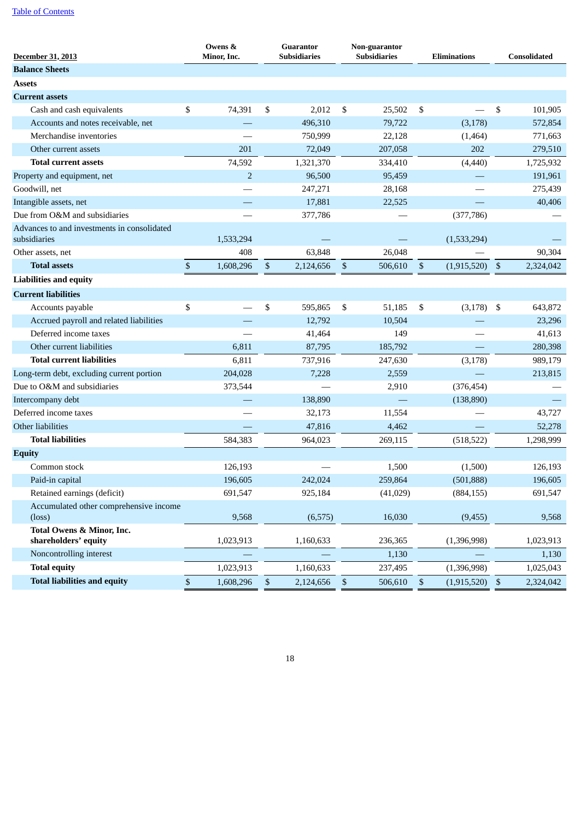# Table of [Contents](#page-0-0)

| <b>December 31, 2013</b>                                     |      | Owens &<br>Minor, Inc. |              | <b>Guarantor</b><br><b>Subsidiaries</b> |      | Non-guarantor<br><b>Subsidiaries</b> |             | <b>Eliminations</b> |                | <b>Consolidated</b> |
|--------------------------------------------------------------|------|------------------------|--------------|-----------------------------------------|------|--------------------------------------|-------------|---------------------|----------------|---------------------|
| <b>Balance Sheets</b>                                        |      |                        |              |                                         |      |                                      |             |                     |                |                     |
| <b>Assets</b>                                                |      |                        |              |                                         |      |                                      |             |                     |                |                     |
| <b>Current assets</b>                                        |      |                        |              |                                         |      |                                      |             |                     |                |                     |
| Cash and cash equivalents                                    | \$   | 74,391                 | \$           | 2,012                                   | \$   | 25,502                               | \$          |                     | \$             | 101,905             |
| Accounts and notes receivable, net                           |      |                        |              | 496,310                                 |      | 79,722                               |             | (3, 178)            |                | 572,854             |
| Merchandise inventories                                      |      |                        |              | 750,999                                 |      | 22,128                               |             | (1,464)             |                | 771,663             |
| Other current assets                                         |      | 201                    |              | 72,049                                  |      | 207,058                              |             | 202                 |                | 279,510             |
| <b>Total current assets</b>                                  |      | 74,592                 |              | 1,321,370                               |      | 334,410                              |             | (4, 440)            |                | 1,725,932           |
| Property and equipment, net                                  |      | $\overline{2}$         |              | 96,500                                  |      | 95,459                               |             |                     |                | 191,961             |
| Goodwill, net                                                |      |                        |              | 247,271                                 |      | 28,168                               |             |                     |                | 275,439             |
| Intangible assets, net                                       |      |                        |              | 17,881                                  |      | 22,525                               |             |                     |                | 40,406              |
| Due from O&M and subsidiaries                                |      |                        |              | 377,786                                 |      |                                      |             | (377, 786)          |                |                     |
| Advances to and investments in consolidated<br>subsidiaries  |      | 1,533,294              |              |                                         |      |                                      |             | (1,533,294)         |                |                     |
| Other assets, net                                            |      | 408                    |              | 63,848                                  |      | 26,048                               |             |                     |                | 90,304              |
| <b>Total assets</b>                                          | \$   | 1,608,296              | \$           | 2,124,656                               | \$   | 506,610                              | \$          | (1,915,520)         | $\mathfrak{F}$ | 2,324,042           |
| <b>Liabilities and equity</b>                                |      |                        |              |                                         |      |                                      |             |                     |                |                     |
| <b>Current liabilities</b>                                   |      |                        |              |                                         |      |                                      |             |                     |                |                     |
| Accounts payable                                             | \$   |                        | \$           | 595,865                                 | \$   | 51,185                               | \$          | (3, 178)            | - \$           | 643,872             |
| Accrued payroll and related liabilities                      |      |                        |              | 12,792                                  |      | 10,504                               |             |                     |                | 23,296              |
| Deferred income taxes                                        |      |                        |              | 41,464                                  |      | 149                                  |             |                     |                | 41,613              |
| Other current liabilities                                    |      | 6,811                  |              | 87,795                                  |      | 185,792                              |             |                     |                | 280,398             |
| <b>Total current liabilities</b>                             |      | 6,811                  |              | 737,916                                 |      | 247,630                              |             | (3, 178)            |                | 989,179             |
| Long-term debt, excluding current portion                    |      | 204,028                |              | 7,228                                   |      | 2,559                                |             |                     |                | 213,815             |
| Due to O&M and subsidiaries                                  |      | 373,544                |              |                                         |      | 2,910                                |             | (376, 454)          |                |                     |
| Intercompany debt                                            |      |                        |              | 138,890                                 |      |                                      |             | (138, 890)          |                |                     |
| Deferred income taxes                                        |      |                        |              | 32,173                                  |      | 11,554                               |             |                     |                | 43,727              |
| Other liabilities                                            |      |                        |              | 47,816                                  |      | 4,462                                |             |                     |                | 52,278              |
| <b>Total liabilities</b>                                     |      | 584,383                |              | 964,023                                 |      | 269,115                              |             | (518, 522)          |                | 1,298,999           |
| <b>Equity</b>                                                |      |                        |              |                                         |      |                                      |             |                     |                |                     |
| Common stock                                                 |      | 126,193                |              |                                         |      | 1,500                                |             | (1,500)             |                | 126,193             |
| Paid-in capital                                              |      | 196,605                |              | 242,024                                 |      | 259,864                              |             | (501, 888)          |                | 196,605             |
| Retained earnings (deficit)                                  |      | 691,547                |              | 925,184                                 |      | (41, 029)                            |             | (884, 155)          |                | 691,547             |
| Accumulated other comprehensive income<br>$(\text{loss})$    |      | 9,568                  |              | (6, 575)                                |      | 16,030                               |             | (9, 455)            |                | 9,568               |
| <b>Total Owens &amp; Minor, Inc.</b><br>shareholders' equity |      | 1,023,913              |              | 1,160,633                               |      | 236,365                              |             | (1,396,998)         |                | 1,023,913           |
| Noncontrolling interest                                      |      |                        |              |                                         |      | 1,130                                |             |                     |                | 1,130               |
| <b>Total equity</b>                                          |      | 1,023,913              |              | 1,160,633                               |      | 237,495                              |             | (1,396,998)         |                | 1,025,043           |
| <b>Total liabilities and equity</b>                          | $\$$ | 1,608,296              | $\mathbb{S}$ | 2,124,656                               | $\,$ | 506,610                              | $\mathbb S$ | (1,915,520)         | $\mathfrak{s}$ | 2,324,042           |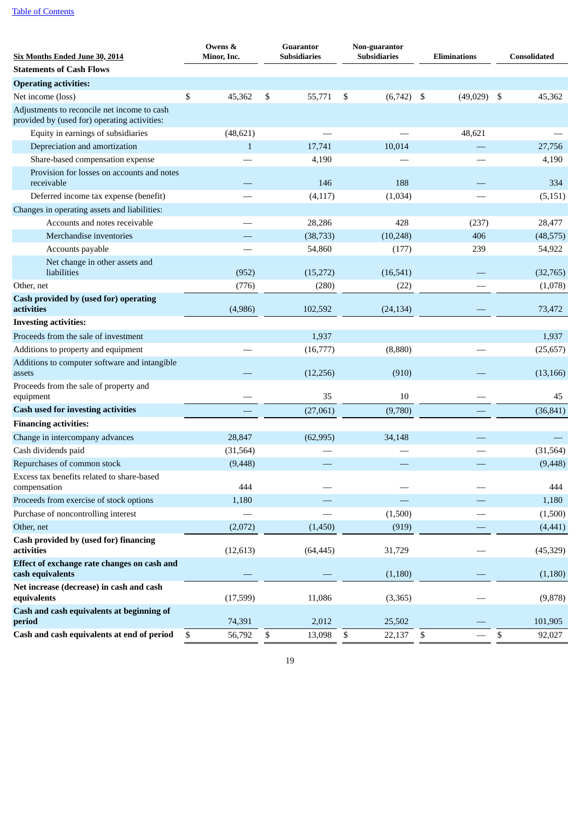| <b>Six Months Ended June 30, 2014</b>                                                       | Owens &<br>Minor, Inc. | <b>Guarantor</b><br>Subsidiaries | Non-guarantor<br><b>Subsidiaries</b> | <b>Eliminations</b> |      | Consolidated |
|---------------------------------------------------------------------------------------------|------------------------|----------------------------------|--------------------------------------|---------------------|------|--------------|
| <b>Statements of Cash Flows</b>                                                             |                        |                                  |                                      |                     |      |              |
| <b>Operating activities:</b>                                                                |                        |                                  |                                      |                     |      |              |
| Net income (loss)                                                                           | \$<br>45,362           | \$<br>55,771                     | \$<br>(6,742)                        | \$<br>(49, 029)     | - \$ | 45,362       |
| Adjustments to reconcile net income to cash<br>provided by (used for) operating activities: |                        |                                  |                                      |                     |      |              |
| Equity in earnings of subsidiaries                                                          | (48, 621)              |                                  |                                      | 48,621              |      |              |
| Depreciation and amortization                                                               | $\mathbf{1}$           | 17,741                           | 10,014                               |                     |      | 27,756       |
| Share-based compensation expense                                                            |                        | 4,190                            |                                      |                     |      | 4,190        |
| Provision for losses on accounts and notes<br>receivable                                    |                        | 146                              | 188                                  |                     |      | 334          |
| Deferred income tax expense (benefit)                                                       |                        | (4, 117)                         | (1,034)                              |                     |      | (5, 151)     |
| Changes in operating assets and liabilities:                                                |                        |                                  |                                      |                     |      |              |
| Accounts and notes receivable                                                               |                        | 28,286                           | 428                                  | (237)               |      | 28,477       |
| Merchandise inventories                                                                     |                        | (38, 733)                        | (10, 248)                            | 406                 |      | (48, 575)    |
| Accounts payable                                                                            |                        | 54,860                           | (177)                                | 239                 |      | 54,922       |
| Net change in other assets and<br>liabilities                                               | (952)                  | (15,272)                         | (16, 541)                            |                     |      | (32,765)     |
| Other, net                                                                                  | (776)                  | (280)                            | (22)                                 |                     |      | (1,078)      |
| Cash provided by (used for) operating<br>activities                                         | (4,986)                | 102,592                          | (24, 134)                            |                     |      | 73,472       |
| <b>Investing activities:</b>                                                                |                        |                                  |                                      |                     |      |              |
| Proceeds from the sale of investment                                                        |                        | 1,937                            |                                      |                     |      | 1,937        |
| Additions to property and equipment                                                         |                        | (16,777)                         | (8,880)                              |                     |      | (25, 657)    |
| Additions to computer software and intangible<br>assets                                     |                        | (12, 256)                        | (910)                                |                     |      | (13, 166)    |
| Proceeds from the sale of property and<br>equipment                                         |                        | 35                               | 10                                   |                     |      | 45           |
| <b>Cash used for investing activities</b>                                                   |                        | (27,061)                         | (9,780)                              |                     |      | (36, 841)    |
| <b>Financing activities:</b>                                                                |                        |                                  |                                      |                     |      |              |
| Change in intercompany advances                                                             | 28,847                 | (62, 995)                        | 34,148                               |                     |      |              |
| Cash dividends paid                                                                         | (31, 564)              |                                  |                                      |                     |      | (31, 564)    |
| Repurchases of common stock                                                                 | (9, 448)               |                                  |                                      |                     |      | (9, 448)     |
| Excess tax benefits related to share-based<br>compensation                                  | 444                    |                                  |                                      |                     |      | 444          |
| Proceeds from exercise of stock options                                                     | 1,180                  |                                  |                                      |                     |      | 1,180        |
| Purchase of noncontrolling interest                                                         |                        |                                  | (1,500)                              |                     |      | (1,500)      |
| Other, net                                                                                  | (2,072)                | (1,450)                          | (919)                                |                     |      | (4, 441)     |
| Cash provided by (used for) financing<br>activities                                         | (12, 613)              | (64, 445)                        | 31,729                               |                     |      | (45, 329)    |
| Effect of exchange rate changes on cash and<br>cash equivalents                             |                        |                                  | (1,180)                              |                     |      | (1,180)      |
| Net increase (decrease) in cash and cash<br>equivalents                                     | (17,599)               | 11,086                           | (3,365)                              |                     |      | (9,878)      |
| Cash and cash equivalents at beginning of<br>period                                         | 74,391                 | 2,012                            | 25,502                               |                     |      | 101,905      |
| Cash and cash equivalents at end of period                                                  | \$<br>56,792           | \$<br>13,098                     | \$<br>22,137                         | \$                  | \$   | 92,027       |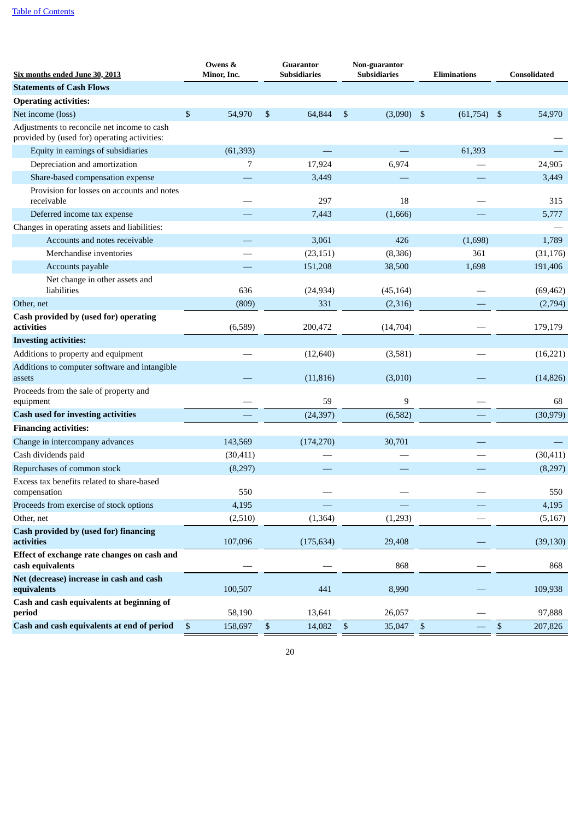| Six months ended June 30, 2013                                                              |                | Owens &<br>Minor, Inc. | <b>Guarantor</b><br><b>Subsidiaries</b> |            |      | Non-guarantor<br><b>Subsidiaries</b> |                           | <b>Eliminations</b> |              | <b>Consolidated</b> |
|---------------------------------------------------------------------------------------------|----------------|------------------------|-----------------------------------------|------------|------|--------------------------------------|---------------------------|---------------------|--------------|---------------------|
| <b>Statements of Cash Flows</b>                                                             |                |                        |                                         |            |      |                                      |                           |                     |              |                     |
| <b>Operating activities:</b>                                                                |                |                        |                                         |            |      |                                      |                           |                     |              |                     |
| Net income (loss)                                                                           | \$             | 54,970                 | \$                                      | 64,844     | \$   | (3,090)                              | $\boldsymbol{\mathsf{S}}$ | (61, 754)           | - \$         | 54,970              |
| Adjustments to reconcile net income to cash<br>provided by (used for) operating activities: |                |                        |                                         |            |      |                                      |                           |                     |              |                     |
| Equity in earnings of subsidiaries                                                          |                | (61, 393)              |                                         |            |      |                                      |                           | 61,393              |              |                     |
| Depreciation and amortization                                                               |                | 7                      |                                         | 17,924     |      | 6,974                                |                           |                     |              | 24,905              |
| Share-based compensation expense                                                            |                |                        |                                         | 3,449      |      |                                      |                           |                     |              | 3,449               |
| Provision for losses on accounts and notes<br>receivable                                    |                |                        |                                         | 297        |      | 18                                   |                           |                     |              | 315                 |
| Deferred income tax expense                                                                 |                |                        |                                         | 7,443      |      | (1,666)                              |                           |                     |              | 5,777               |
| Changes in operating assets and liabilities:                                                |                |                        |                                         |            |      |                                      |                           |                     |              |                     |
| Accounts and notes receivable                                                               |                |                        |                                         | 3,061      |      | 426                                  |                           | (1,698)             |              | 1,789               |
| Merchandise inventories                                                                     |                |                        |                                         | (23, 151)  |      | (8, 386)                             |                           | 361                 |              | (31, 176)           |
| Accounts payable                                                                            |                |                        |                                         | 151,208    |      | 38,500                               |                           | 1,698               |              | 191,406             |
| Net change in other assets and<br>liabilities                                               |                | 636                    |                                         | (24, 934)  |      | (45, 164)                            |                           |                     |              | (69, 462)           |
| Other, net                                                                                  |                | (809)                  |                                         | 331        |      | (2,316)                              |                           |                     |              | (2,794)             |
| Cash provided by (used for) operating<br>activities                                         |                | (6,589)                |                                         | 200,472    |      | (14, 704)                            |                           |                     |              | 179,179             |
| <b>Investing activities:</b>                                                                |                |                        |                                         |            |      |                                      |                           |                     |              |                     |
| Additions to property and equipment                                                         |                |                        |                                         | (12, 640)  |      | (3,581)                              |                           |                     |              | (16, 221)           |
| Additions to computer software and intangible<br>assets                                     |                |                        |                                         | (11, 816)  |      | (3,010)                              |                           |                     |              | (14, 826)           |
| Proceeds from the sale of property and<br>equipment                                         |                |                        |                                         | 59         |      | 9                                    |                           |                     |              | 68                  |
| <b>Cash used for investing activities</b>                                                   |                |                        |                                         | (24, 397)  |      | (6,582)                              |                           |                     |              | (30, 979)           |
| <b>Financing activities:</b>                                                                |                |                        |                                         |            |      |                                      |                           |                     |              |                     |
| Change in intercompany advances                                                             |                | 143,569                |                                         | (174, 270) |      | 30,701                               |                           |                     |              |                     |
| Cash dividends paid                                                                         |                | (30, 411)              |                                         |            |      |                                      |                           |                     |              | (30, 411)           |
| Repurchases of common stock                                                                 |                | (8,297)                |                                         |            |      |                                      |                           |                     |              | (8,297)             |
| Excess tax benefits related to share-based<br>compensation                                  |                | 550                    |                                         |            |      |                                      |                           |                     |              | 550                 |
| Proceeds from exercise of stock options                                                     |                | 4,195                  |                                         |            |      |                                      |                           |                     |              | 4,195               |
| Other, net                                                                                  |                | (2,510)                |                                         | (1, 364)   |      | (1,293)                              |                           |                     |              | (5, 167)            |
| Cash provided by (used for) financing<br>activities                                         |                | 107,096                |                                         | (175, 634) |      | 29,408                               |                           |                     |              | (39, 130)           |
| Effect of exchange rate changes on cash and<br>cash equivalents                             |                |                        |                                         |            |      | 868                                  |                           |                     |              | 868                 |
| Net (decrease) increase in cash and cash<br>equivalents                                     |                | 100,507                |                                         | 441        |      | 8,990                                |                           |                     |              | 109,938             |
| Cash and cash equivalents at beginning of<br>period                                         |                | 58,190                 |                                         | 13,641     |      | 26,057                               |                           |                     |              | 97,888              |
| Cash and cash equivalents at end of period                                                  | $\mathfrak{S}$ | 158,697                | $\mathbb{S}$                            | 14,082     | $\$$ | 35,047                               | \$                        |                     | $\mathbb{S}$ | 207,826             |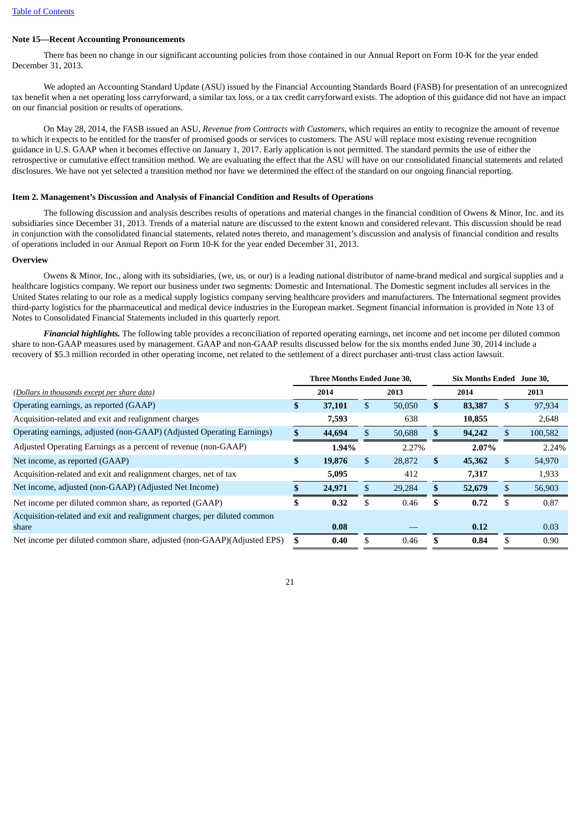### **Note 15—Recent Accounting Pronouncements**

There has been no change in our significant accounting policies from those contained in our Annual Report on Form 10-K for the year ended December 31, 2013.

We adopted an Accounting Standard Update (ASU) issued by the Financial Accounting Standards Board (FASB) for presentation of an unrecognized tax benefit when a net operating loss carryforward, a similar tax loss, or a tax credit carryforward exists. The adoption of this guidance did not have an impact on our financial position or results of operations.

On May 28, 2014, the FASB issued an ASU, *Revenue from Contracts with Customers*, which requires an entity to recognize the amount of revenue to which it expects to be entitled for the transfer of promised goods or services to customers. The ASU will replace most existing revenue recognition guidance in U.S. GAAP when it becomes effective on January 1, 2017. Early application is not permitted. The standard permits the use of either the retrospective or cumulative effect transition method. We are evaluating the effect that the ASU will have on our consolidated financial statements and related disclosures. We have not yet selected a transition method nor have we determined the effect of the standard on our ongoing financial reporting.

# <span id="page-20-0"></span>**Item 2. Management's Discussion and Analysis of Financial Condition and Results of Operations**

The following discussion and analysis describes results of operations and material changes in the financial condition of Owens & Minor, Inc. and its subsidiaries since December 31, 2013. Trends of a material nature are discussed to the extent known and considered relevant. This discussion should be read in conjunction with the consolidated financial statements, related notes thereto, and management's discussion and analysis of financial condition and results of operations included in our Annual Report on Form 10-K for the year ended December 31, 2013.

### **Overview**

Owens & Minor, Inc., along with its subsidiaries, (we, us, or our) is a leading national distributor of name-brand medical and surgical supplies and a healthcare logistics company. We report our business under two segments: Domestic and International. The Domestic segment includes all services in the United States relating to our role as a medical supply logistics company serving healthcare providers and manufacturers. The International segment provides third-party logistics for the pharmaceutical and medical device industries in the European market. Segment financial information is provided in Note 13 of Notes to Consolidated Financial Statements included in this quarterly report.

*Financial highlights.* The following table provides a reconciliation of reported operating earnings, net income and net income per diluted common share to non-GAAP measures used by management. GAAP and non-GAAP results discussed below for the six months ended June 30, 2014 include a recovery of \$5.3 million recorded in other operating income, net related to the settlement of a direct purchaser anti-trust class action lawsuit.

|                                                                                   | Three Months Ended June 30, |        |               |        |     | Six Months Ended June 30, |    |         |  |
|-----------------------------------------------------------------------------------|-----------------------------|--------|---------------|--------|-----|---------------------------|----|---------|--|
| (Dollars in thousands except per share data)                                      |                             | 2014   |               | 2013   |     | 2014                      |    | 2013    |  |
| Operating earnings, as reported (GAAP)                                            | \$.                         | 37,101 | \$            | 50,050 | S   | 83,387                    | \$ | 97,934  |  |
| Acquisition-related and exit and realignment charges                              |                             | 7,593  |               | 638    |     | 10,855                    |    | 2,648   |  |
| Operating earnings, adjusted (non-GAAP) (Adjusted Operating Earnings)             | \$                          | 44,694 | \$            | 50,688 |     | 94,242                    | \$ | 100,582 |  |
| Adjusted Operating Earnings as a percent of revenue (non-GAAP)                    |                             | 1.94%  |               | 2.27%  |     | 2.07%                     |    | 2.24%   |  |
| Net income, as reported (GAAP)                                                    | \$                          | 19,876 | \$            | 28,872 | \$. | 45,362                    | \$ | 54,970  |  |
| Acquisition-related and exit and realignment charges, net of tax                  |                             | 5,095  |               | 412    |     | 7,317                     |    | 1,933   |  |
| Net income, adjusted (non-GAAP) (Adjusted Net Income)                             |                             | 24,971 | $\mathcal{S}$ | 29,284 |     | 52,679                    | \$ | 56,903  |  |
| Net income per diluted common share, as reported (GAAP)                           | \$                          | 0.32   | \$            | 0.46   | \$. | 0.72                      | \$ | 0.87    |  |
| Acquisition-related and exit and realignment charges, per diluted common<br>share |                             | 0.08   |               |        |     | 0.12                      |    | 0.03    |  |
| Net income per diluted common share, adjusted (non-GAAP)(Adjusted EPS)            |                             | 0.40   | \$.           | 0.46   |     | 0.84                      | S  | 0.90    |  |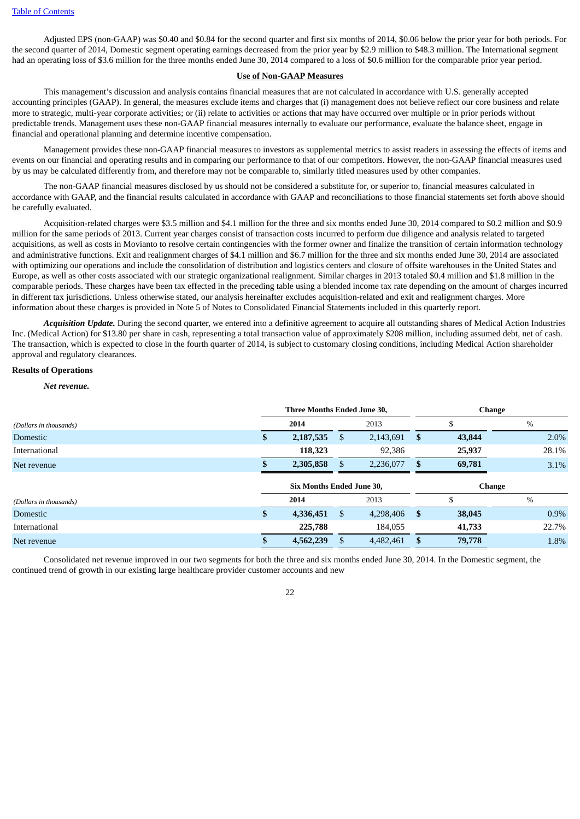Adjusted EPS (non-GAAP) was \$0.40 and \$0.84 for the second quarter and first six months of 2014, \$0.06 below the prior year for both periods. For the second quarter of 2014, Domestic segment operating earnings decreased from the prior year by \$2.9 million to \$48.3 million. The International segment had an operating loss of \$3.6 million for the three months ended June 30, 2014 compared to a loss of \$0.6 million for the comparable prior year period.

### **Use of Non-GAAP Measures**

This management's discussion and analysis contains financial measures that are not calculated in accordance with U.S. generally accepted accounting principles (GAAP). In general, the measures exclude items and charges that (i) management does not believe reflect our core business and relate more to strategic, multi-year corporate activities; or (ii) relate to activities or actions that may have occurred over multiple or in prior periods without predictable trends. Management uses these non-GAAP financial measures internally to evaluate our performance, evaluate the balance sheet, engage in financial and operational planning and determine incentive compensation.

Management provides these non-GAAP financial measures to investors as supplemental metrics to assist readers in assessing the effects of items and events on our financial and operating results and in comparing our performance to that of our competitors. However, the non-GAAP financial measures used by us may be calculated differently from, and therefore may not be comparable to, similarly titled measures used by other companies.

The non-GAAP financial measures disclosed by us should not be considered a substitute for, or superior to, financial measures calculated in accordance with GAAP, and the financial results calculated in accordance with GAAP and reconciliations to those financial statements set forth above should be carefully evaluated.

Acquisition-related charges were \$3.5 million and \$4.1 million for the three and six months ended June 30, 2014 compared to \$0.2 million and \$0.9 million for the same periods of 2013. Current year charges consist of transaction costs incurred to perform due diligence and analysis related to targeted acquisitions, as well as costs in Movianto to resolve certain contingencies with the former owner and finalize the transition of certain information technology and administrative functions. Exit and realignment charges of \$4.1 million and \$6.7 million for the three and six months ended June 30, 2014 are associated with optimizing our operations and include the consolidation of distribution and logistics centers and closure of offsite warehouses in the United States and Europe, as well as other costs associated with our strategic organizational realignment. Similar charges in 2013 totaled \$0.4 million and \$1.8 million in the comparable periods. These charges have been tax effected in the preceding table using a blended income tax rate depending on the amount of charges incurred in different tax jurisdictions. Unless otherwise stated, our analysis hereinafter excludes acquisition-related and exit and realignment charges. More information about these charges is provided in Note 5 of Notes to Consolidated Financial Statements included in this quarterly report.

*Acquisition Update.* During the second quarter, we entered into a definitive agreement to acquire all outstanding shares of Medical Action Industries Inc. (Medical Action) for \$13.80 per share in cash, representing a total transaction value of approximately \$208 million, including assumed debt, net of cash. The transaction, which is expected to close in the fourth quarter of 2014, is subject to customary closing conditions, including Medical Action shareholder approval and regulatory clearances.

### **Results of Operations**

### *Net revenue.*

|                        | Three Months Ended June 30,      |           |    |           | Change |        |               |  |
|------------------------|----------------------------------|-----------|----|-----------|--------|--------|---------------|--|
| (Dollars in thousands) |                                  | 2014      |    | 2013      |        |        | $\frac{0}{0}$ |  |
| Domestic               | \$                               | 2,187,535 | S  | 2,143,691 | - 5    | 43,844 | 2.0%          |  |
| <b>International</b>   |                                  | 118,323   |    | 92,386    |        | 25,937 | 28.1%         |  |
| Net revenue            |                                  | 2,305,858 | S  | 2,236,077 | - 5    | 69,781 | 3.1%          |  |
|                        | <b>Six Months Ended June 30,</b> |           |    | Change    |        |        |               |  |
| (Dollars in thousands) |                                  | 2014      |    | 2013      |        |        | $\frac{0}{0}$ |  |
| Domestic               | \$                               | 4,336,451 | \$ | 4,298,406 | - \$   | 38,045 | 0.9%          |  |
| International          |                                  | 225,788   |    | 184,055   |        | 41,733 | 22.7%         |  |
| Net revenue            | D                                | 4,562,239 | S  | 4,482,461 | - 5    | 79,778 | 1.8%          |  |

Consolidated net revenue improved in our two segments for both the three and six months ended June 30, 2014. In the Domestic segment, the continued trend of growth in our existing large healthcare provider customer accounts and new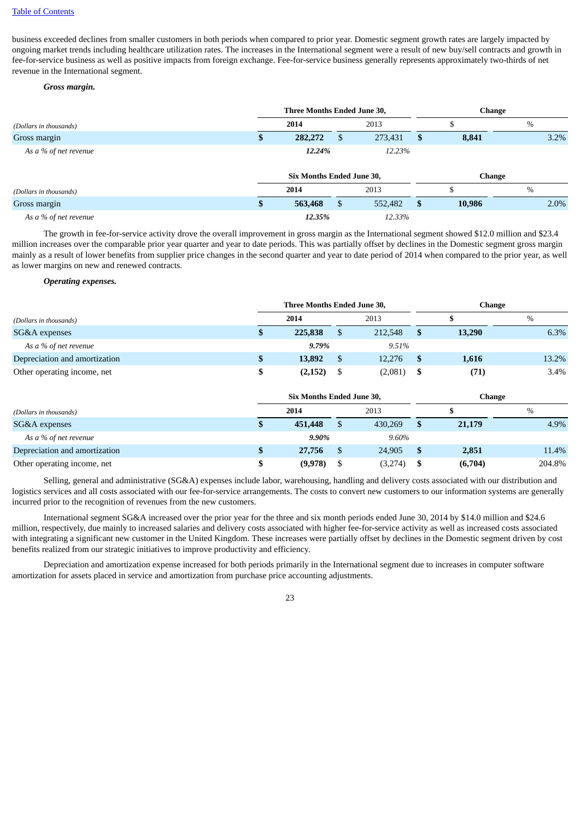### Table of [Contents](#page-0-0)

business exceeded declines from smaller customers in both periods when compared to prior year. Domestic segment growth rates are largely impacted by ongoing market trends including healthcare utilization rates. The increases in the International segment were a result of new buy/sell contracts and growth in fee-for-service business as well as positive impacts from foreign exchange. Fee-for-service business generally represents approximately two-thirds of net revenue in the International segment.

#### *Gross margin.*

|                        | Three Months Ended June 30, |                  |         |    | Change  |     |        |   |         |
|------------------------|-----------------------------|------------------|---------|----|---------|-----|--------|---|---------|
| (Dollars in thousands) |                             |                  | 2014    |    | 2013    |     |        | % |         |
| Gross margin           |                             |                  | 282,272 | \$ | 273,431 | -\$ | 8,841  |   | $3.2\%$ |
| As a % of net revenue  |                             | 12.23%<br>12.24% |         |    |         |     |        |   |         |
|                        | Six Months Ended June 30,   |                  |         |    | Change  |     |        |   |         |
| (Dollars in thousands) |                             |                  | 2014    |    | 2013    |     |        | % |         |
| Gross margin           |                             |                  | 563,468 | \$ | 552,482 | S   | 10,986 |   | 2.0%    |
| As a % of net revenue  |                             |                  | 12.35%  |    | 12.33%  |     |        |   |         |

The growth in fee-for-service activity drove the overall improvement in gross margin as the International segment showed \$12.0 million and \$23.4 million increases over the comparable prior year quarter and year to date periods. This was partially offset by declines in the Domestic segment gross margin mainly as a result of lower benefits from supplier price changes in the second quarter and year to date period of 2014 when compared to the prior year, as well as lower margins on new and renewed contracts.

### *Operating expenses.*

|                               | Three Months Ended June 30, |         | Change |        |       |  |
|-------------------------------|-----------------------------|---------|--------|--------|-------|--|
| (Dollars in thousands)        | 2014                        | 2013    |        |        | $\%$  |  |
| SG&A expenses                 | 225,838                     | 212,548 |        | 13,290 | 6.3%  |  |
| As a % of net revenue         | 9.79%                       | 9.51%   |        |        |       |  |
| Depreciation and amortization | 13,892                      | 12.276  |        | 1,616  | 13.2% |  |
| Other operating income, net   | (2, 152)                    | (2,081) |        | (71)   | 3.4%  |  |

|                               |   | Six Months Ended June 30, |  |         |  | Change  |        |  |  |
|-------------------------------|---|---------------------------|--|---------|--|---------|--------|--|--|
| (Dollars in thousands)        |   | 2014                      |  | 2013    |  |         | $\%$   |  |  |
| SG&A expenses                 |   | 451,448                   |  | 430.269 |  | 21,179  | 4.9%   |  |  |
| As a % of net revenue         |   | 9.90%                     |  | 9.60%   |  |         |        |  |  |
| Depreciation and amortization | S | 27,756                    |  | 24,905  |  | 2,851   | 11.4%  |  |  |
| Other operating income, net   |   | (9,978)                   |  | (3,274) |  | (6,704) | 204.8% |  |  |

Selling, general and administrative (SG&A) expenses include labor, warehousing, handling and delivery costs associated with our distribution and logistics services and all costs associated with our fee-for-service arrangements. The costs to convert new customers to our information systems are generally incurred prior to the recognition of revenues from the new customers.

International segment SG&A increased over the prior year for the three and six month periods ended June 30, 2014 by \$14.0 million and \$24.6 million, respectively, due mainly to increased salaries and delivery costs associated with higher fee-for-service activity as well as increased costs associated with integrating a significant new customer in the United Kingdom. These increases were partially offset by declines in the Domestic segment driven by cost benefits realized from our strategic initiatives to improve productivity and efficiency.

Depreciation and amortization expense increased for both periods primarily in the International segment due to increases in computer software amortization for assets placed in service and amortization from purchase price accounting adjustments.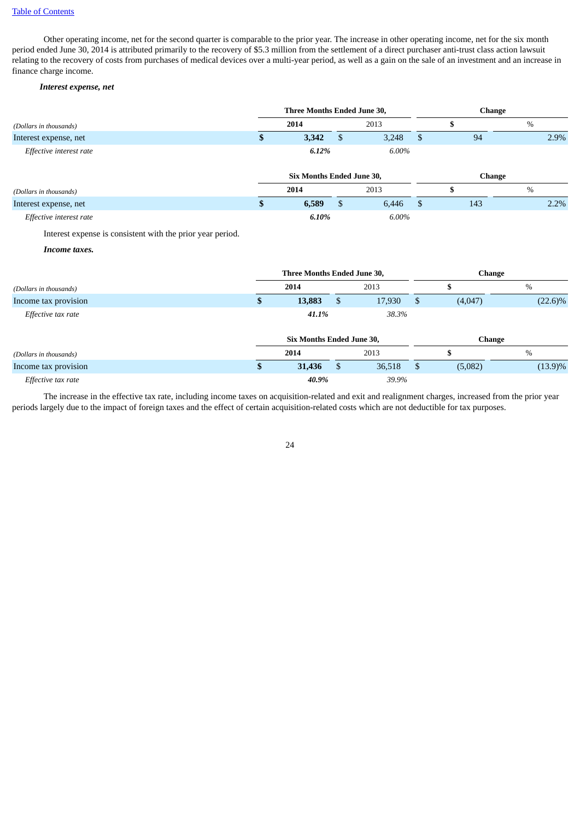Other operating income, net for the second quarter is comparable to the prior year. The increase in other operating income, net for the six month period ended June 30, 2014 is attributed primarily to the recovery of \$5.3 million from the settlement of a direct purchaser anti-trust class action lawsuit relating to the recovery of costs from purchases of medical devices over a multi-year period, as well as a gain on the sale of an investment and an increase in finance charge income.

### *Interest expense, net*

|                                                            | Three Months Ended June 30, |                           |    |        |                | <b>Change</b> |               |  |  |
|------------------------------------------------------------|-----------------------------|---------------------------|----|--------|----------------|---------------|---------------|--|--|
| (Dollars in thousands)                                     |                             | 2014                      |    | 2013   | \$             |               | $\%$          |  |  |
| Interest expense, net                                      | \$                          | 3,342                     | \$ | 3,248  | $\mathfrak{S}$ | 94            | 2.9%          |  |  |
| Effective interest rate                                    |                             | 6.12%                     |    | 6.00%  |                |               |               |  |  |
|                                                            |                             | Six Months Ended June 30, |    |        |                | <b>Change</b> |               |  |  |
| (Dollars in thousands)                                     |                             | 2014                      |    | 2013   |                | \$            | $\frac{0}{0}$ |  |  |
| Interest expense, net                                      | \$                          | 6,589                     | \$ | 6,446  | \$             | 143           | 2.2%          |  |  |
| Effective interest rate                                    |                             | 6.10%                     |    | 6.00%  |                |               |               |  |  |
| Interest expense is consistent with the prior year period. |                             |                           |    |        |                |               |               |  |  |
| Income taxes.                                              |                             |                           |    |        |                |               |               |  |  |
|                                                            | Three Months Ended June 30, |                           |    |        |                | <b>Change</b> |               |  |  |
| (Dollars in thousands)                                     |                             | 2014                      |    | 2013   |                | \$            | $\%$          |  |  |
| Income tax provision                                       | $\mathbf{s}$                | 13,883                    | \$ | 17,930 | \$             | (4,047)       | $(22.6)\%$    |  |  |
| Effective tax rate                                         |                             | 41.1%                     |    | 38.3%  |                |               |               |  |  |
|                                                            |                             | Six Months Ended June 30, |    |        |                | <b>Change</b> |               |  |  |
| (Dollars in thousands)                                     |                             | 2014                      |    | 2013   |                | \$            | $\%$          |  |  |
| Income tax provision                                       | \$                          | 31,436                    | \$ | 36,518 | \$             | (5,082)       | $(13.9)\%$    |  |  |

The increase in the effective tax rate, including income taxes on acquisition-related and exit and realignment charges, increased from the prior year periods largely due to the impact of foreign taxes and the effect of certain acquisition-related costs which are not deductible for tax purposes.

*Effective tax rate 40.9% 39.9%*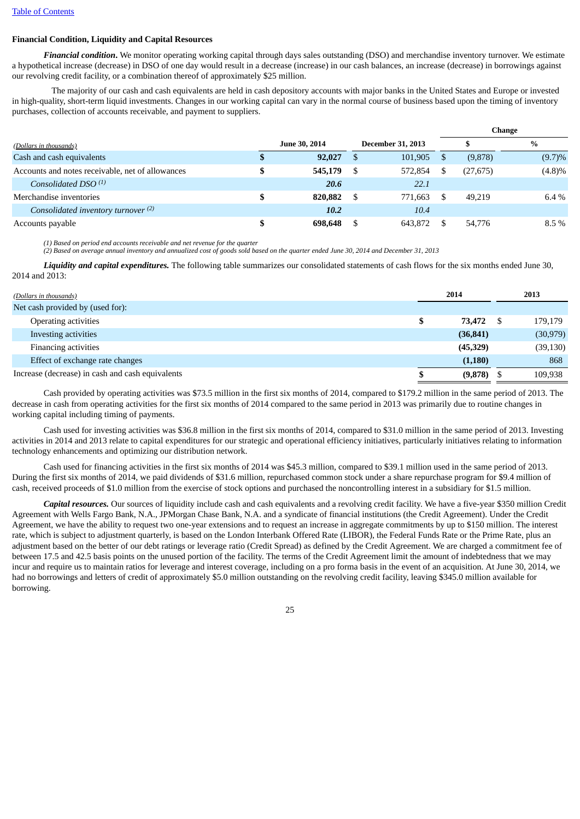# **Financial Condition, Liquidity and Capital Resources**

*Financial condition***.** We monitor operating working capital through days sales outstanding (DSO) and merchandise inventory turnover. We estimate a hypothetical increase (decrease) in DSO of one day would result in a decrease (increase) in our cash balances, an increase (decrease) in borrowings against our revolving credit facility, or a combination thereof of approximately \$25 million.

The majority of our cash and cash equivalents are held in cash depository accounts with major banks in the United States and Europe or invested in high-quality, short-term liquid investments. Changes in our working capital can vary in the normal course of business based upon the timing of inventory purchases, collection of accounts receivable, and payment to suppliers.

|                                                  |  |               |  |                          | <b>Change</b> |           |           |  |
|--------------------------------------------------|--|---------------|--|--------------------------|---------------|-----------|-----------|--|
| (Dollars in thousands)                           |  | June 30, 2014 |  | <b>December 31, 2013</b> |               |           | $\%$      |  |
| Cash and cash equivalents                        |  | 92,027        |  | 101,905                  | S             | (9,878)   | $(9.7)\%$ |  |
| Accounts and notes receivable, net of allowances |  | 545,179       |  | 572,854                  |               | (27, 675) | (4.8)%    |  |
| Consolidated DSO $(1)$                           |  | 20.6          |  | 22.1                     |               |           |           |  |
| Merchandise inventories                          |  | 820,882       |  | 771.663                  |               | 49.219    | $6.4\%$   |  |
| Consolidated inventory turnover (2)              |  | 10.2          |  | 10.4                     |               |           |           |  |
| Accounts payable                                 |  | 698,648       |  | 643,872                  |               | 54,776    | $8.5\%$   |  |

*(1) Based on period end accounts receivable and net revenue for the quarter*

(2) Based on average annual inventory and annualized cost of goods sold based on the quarter ended June 30, 2014 and December 31, 2013

*Liquidity and capital expenditures.* The following table summarizes our consolidated statements of cash flows for the six months ended June 30, 2014 and 2013:

| (Dollars in thousands)                           |   | 2014         | 2013      |
|--------------------------------------------------|---|--------------|-----------|
| Net cash provided by (used for):                 |   |              |           |
| Operating activities                             | S | 73,472       | 179,179   |
| Investing activities                             |   | (36, 841)    | (30, 979) |
| <b>Financing activities</b>                      |   | (45,329)     | (39, 130) |
| Effect of exchange rate changes                  |   | (1,180)      | 868       |
| Increase (decrease) in cash and cash equivalents |   | $(9,878)$ \$ | 109,938   |

Cash provided by operating activities was \$73.5 million in the first six months of 2014, compared to \$179.2 million in the same period of 2013. The decrease in cash from operating activities for the first six months of 2014 compared to the same period in 2013 was primarily due to routine changes in working capital including timing of payments.

Cash used for investing activities was \$36.8 million in the first six months of 2014, compared to \$31.0 million in the same period of 2013. Investing activities in 2014 and 2013 relate to capital expenditures for our strategic and operational efficiency initiatives, particularly initiatives relating to information technology enhancements and optimizing our distribution network.

Cash used for financing activities in the first six months of 2014 was \$45.3 million, compared to \$39.1 million used in the same period of 2013. During the first six months of 2014, we paid dividends of \$31.6 million, repurchased common stock under a share repurchase program for \$9.4 million of cash, received proceeds of \$1.0 million from the exercise of stock options and purchased the noncontrolling interest in a subsidiary for \$1.5 million.

*Capital resources.* Our sources of liquidity include cash and cash equivalents and a revolving credit facility. We have a five-year \$350 million Credit Agreement with Wells Fargo Bank, N.A., JPMorgan Chase Bank, N.A. and a syndicate of financial institutions (the Credit Agreement). Under the Credit Agreement, we have the ability to request two one-year extensions and to request an increase in aggregate commitments by up to \$150 million. The interest rate, which is subject to adjustment quarterly, is based on the London Interbank Offered Rate (LIBOR), the Federal Funds Rate or the Prime Rate, plus an adjustment based on the better of our debt ratings or leverage ratio (Credit Spread) as defined by the Credit Agreement. We are charged a commitment fee of between 17.5 and 42.5 basis points on the unused portion of the facility. The terms of the Credit Agreement limit the amount of indebtedness that we may incur and require us to maintain ratios for leverage and interest coverage, including on a pro forma basis in the event of an acquisition. At June 30, 2014, we had no borrowings and letters of credit of approximately \$5.0 million outstanding on the revolving credit facility, leaving \$345.0 million available for borrowing.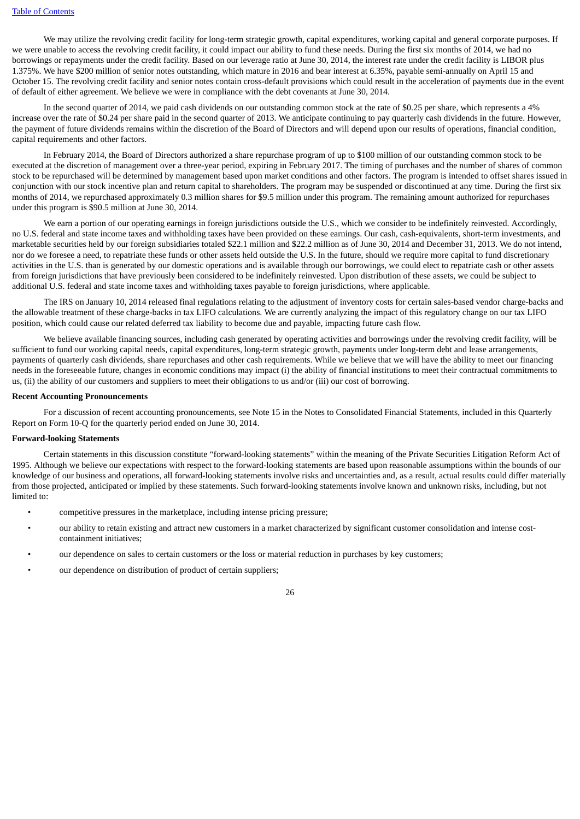We may utilize the revolving credit facility for long-term strategic growth, capital expenditures, working capital and general corporate purposes. If we were unable to access the revolving credit facility, it could impact our ability to fund these needs. During the first six months of 2014, we had no borrowings or repayments under the credit facility. Based on our leverage ratio at June 30, 2014, the interest rate under the credit facility is LIBOR plus 1.375%. We have \$200 million of senior notes outstanding, which mature in 2016 and bear interest at 6.35%, payable semi-annually on April 15 and October 15. The revolving credit facility and senior notes contain cross-default provisions which could result in the acceleration of payments due in the event of default of either agreement. We believe we were in compliance with the debt covenants at June 30, 2014.

In the second quarter of 2014, we paid cash dividends on our outstanding common stock at the rate of \$0.25 per share, which represents a 4% increase over the rate of \$0.24 per share paid in the second quarter of 2013. We anticipate continuing to pay quarterly cash dividends in the future. However, the payment of future dividends remains within the discretion of the Board of Directors and will depend upon our results of operations, financial condition, capital requirements and other factors.

In February 2014, the Board of Directors authorized a share repurchase program of up to \$100 million of our outstanding common stock to be executed at the discretion of management over a three-year period, expiring in February 2017. The timing of purchases and the number of shares of common stock to be repurchased will be determined by management based upon market conditions and other factors. The program is intended to offset shares issued in conjunction with our stock incentive plan and return capital to shareholders. The program may be suspended or discontinued at any time. During the first six months of 2014, we repurchased approximately 0.3 million shares for \$9.5 million under this program. The remaining amount authorized for repurchases under this program is \$90.5 million at June 30, 2014.

We earn a portion of our operating earnings in foreign jurisdictions outside the U.S., which we consider to be indefinitely reinvested. Accordingly, no U.S. federal and state income taxes and withholding taxes have been provided on these earnings. Our cash, cash-equivalents, short-term investments, and marketable securities held by our foreign subsidiaries totaled \$22.1 million and \$22.2 million as of June 30, 2014 and December 31, 2013. We do not intend, nor do we foresee a need, to repatriate these funds or other assets held outside the U.S. In the future, should we require more capital to fund discretionary activities in the U.S. than is generated by our domestic operations and is available through our borrowings, we could elect to repatriate cash or other assets from foreign jurisdictions that have previously been considered to be indefinitely reinvested. Upon distribution of these assets, we could be subject to additional U.S. federal and state income taxes and withholding taxes payable to foreign jurisdictions, where applicable.

The IRS on January 10, 2014 released final regulations relating to the adjustment of inventory costs for certain sales-based vendor charge-backs and the allowable treatment of these charge-backs in tax LIFO calculations. We are currently analyzing the impact of this regulatory change on our tax LIFO position, which could cause our related deferred tax liability to become due and payable, impacting future cash flow.

We believe available financing sources, including cash generated by operating activities and borrowings under the revolving credit facility, will be sufficient to fund our working capital needs, capital expenditures, long-term strategic growth, payments under long-term debt and lease arrangements, payments of quarterly cash dividends, share repurchases and other cash requirements. While we believe that we will have the ability to meet our financing needs in the foreseeable future, changes in economic conditions may impact (i) the ability of financial institutions to meet their contractual commitments to us, (ii) the ability of our customers and suppliers to meet their obligations to us and/or (iii) our cost of borrowing.

### **Recent Accounting Pronouncements**

For a discussion of recent accounting pronouncements, see Note 15 in the Notes to Consolidated Financial Statements, included in this Quarterly Report on Form 10-Q for the quarterly period ended on June 30, 2014.

### **Forward-looking Statements**

Certain statements in this discussion constitute "forward-looking statements" within the meaning of the Private Securities Litigation Reform Act of 1995. Although we believe our expectations with respect to the forward-looking statements are based upon reasonable assumptions within the bounds of our knowledge of our business and operations, all forward-looking statements involve risks and uncertainties and, as a result, actual results could differ materially from those projected, anticipated or implied by these statements. Such forward-looking statements involve known and unknown risks, including, but not limited to:

- competitive pressures in the marketplace, including intense pricing pressure;
- our ability to retain existing and attract new customers in a market characterized by significant customer consolidation and intense costcontainment initiatives;
- our dependence on sales to certain customers or the loss or material reduction in purchases by key customers;
- our dependence on distribution of product of certain suppliers;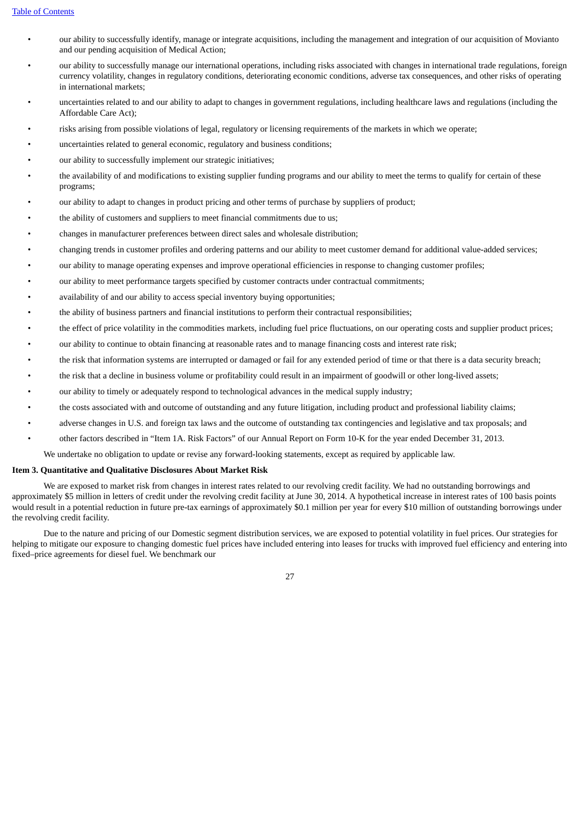- our ability to successfully identify, manage or integrate acquisitions, including the management and integration of our acquisition of Movianto and our pending acquisition of Medical Action;
- our ability to successfully manage our international operations, including risks associated with changes in international trade regulations, foreign currency volatility, changes in regulatory conditions, deteriorating economic conditions, adverse tax consequences, and other risks of operating in international markets;
- uncertainties related to and our ability to adapt to changes in government regulations, including healthcare laws and regulations (including the Affordable Care Act);
- risks arising from possible violations of legal, regulatory or licensing requirements of the markets in which we operate;
- uncertainties related to general economic, regulatory and business conditions;
- our ability to successfully implement our strategic initiatives;
- the availability of and modifications to existing supplier funding programs and our ability to meet the terms to qualify for certain of these programs;
- our ability to adapt to changes in product pricing and other terms of purchase by suppliers of product;
- the ability of customers and suppliers to meet financial commitments due to us;
- changes in manufacturer preferences between direct sales and wholesale distribution;
- changing trends in customer profiles and ordering patterns and our ability to meet customer demand for additional value-added services;
- our ability to manage operating expenses and improve operational efficiencies in response to changing customer profiles;
- our ability to meet performance targets specified by customer contracts under contractual commitments;
- availability of and our ability to access special inventory buying opportunities;
- the ability of business partners and financial institutions to perform their contractual responsibilities;
- the effect of price volatility in the commodities markets, including fuel price fluctuations, on our operating costs and supplier product prices;
- our ability to continue to obtain financing at reasonable rates and to manage financing costs and interest rate risk;
- the risk that information systems are interrupted or damaged or fail for any extended period of time or that there is a data security breach;
- the risk that a decline in business volume or profitability could result in an impairment of goodwill or other long-lived assets;
- our ability to timely or adequately respond to technological advances in the medical supply industry;
- the costs associated with and outcome of outstanding and any future litigation, including product and professional liability claims;
- adverse changes in U.S. and foreign tax laws and the outcome of outstanding tax contingencies and legislative and tax proposals; and
- other factors described in "Item 1A. Risk Factors" of our Annual Report on Form 10-K for the year ended December 31, 2013.

We undertake no obligation to update or revise any forward-looking statements, except as required by applicable law.

### <span id="page-26-0"></span>**Item 3. Quantitative and Qualitative Disclosures About Market Risk**

We are exposed to market risk from changes in interest rates related to our revolving credit facility. We had no outstanding borrowings and approximately \$5 million in letters of credit under the revolving credit facility at June 30, 2014. A hypothetical increase in interest rates of 100 basis points would result in a potential reduction in future pre-tax earnings of approximately \$0.1 million per year for every \$10 million of outstanding borrowings under the revolving credit facility.

Due to the nature and pricing of our Domestic segment distribution services, we are exposed to potential volatility in fuel prices. Our strategies for helping to mitigate our exposure to changing domestic fuel prices have included entering into leases for trucks with improved fuel efficiency and entering into fixed–price agreements for diesel fuel. We benchmark our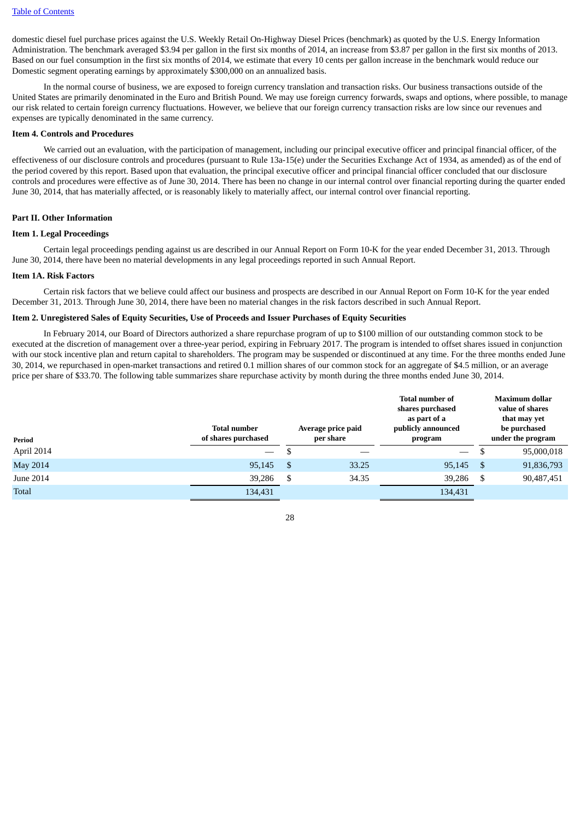domestic diesel fuel purchase prices against the U.S. Weekly Retail On-Highway Diesel Prices (benchmark) as quoted by the U.S. Energy Information Administration. The benchmark averaged \$3.94 per gallon in the first six months of 2014, an increase from \$3.87 per gallon in the first six months of 2013. Based on our fuel consumption in the first six months of 2014, we estimate that every 10 cents per gallon increase in the benchmark would reduce our Domestic segment operating earnings by approximately \$300,000 on an annualized basis.

In the normal course of business, we are exposed to foreign currency translation and transaction risks. Our business transactions outside of the United States are primarily denominated in the Euro and British Pound. We may use foreign currency forwards, swaps and options, where possible, to manage our risk related to certain foreign currency fluctuations. However, we believe that our foreign currency transaction risks are low since our revenues and expenses are typically denominated in the same currency.

### <span id="page-27-0"></span>**Item 4. Controls and Procedures**

We carried out an evaluation, with the participation of management, including our principal executive officer and principal financial officer, of the effectiveness of our disclosure controls and procedures (pursuant to Rule 13a-15(e) under the Securities Exchange Act of 1934, as amended) as of the end of the period covered by this report. Based upon that evaluation, the principal executive officer and principal financial officer concluded that our disclosure controls and procedures were effective as of June 30, 2014. There has been no change in our internal control over financial reporting during the quarter ended June 30, 2014, that has materially affected, or is reasonably likely to materially affect, our internal control over financial reporting.

### <span id="page-27-1"></span>**Part II. Other Information**

### <span id="page-27-2"></span>**Item 1. Legal Proceedings**

Certain legal proceedings pending against us are described in our Annual Report on Form 10-K for the year ended December 31, 2013. Through June 30, 2014, there have been no material developments in any legal proceedings reported in such Annual Report.

#### <span id="page-27-3"></span>**Item 1A. Risk Factors**

Certain risk factors that we believe could affect our business and prospects are described in our Annual Report on Form 10-K for the year ended December 31, 2013. Through June 30, 2014, there have been no material changes in the risk factors described in such Annual Report.

### <span id="page-27-4"></span>**Item 2. Unregistered Sales of Equity Securities, Use of Proceeds and Issuer Purchases of Equity Securities**

In February 2014, our Board of Directors authorized a share repurchase program of up to \$100 million of our outstanding common stock to be executed at the discretion of management over a three-year period, expiring in February 2017. The program is intended to offset shares issued in conjunction with our stock incentive plan and return capital to shareholders. The program may be suspended or discontinued at any time. For the three months ended June 30, 2014, we repurchased in open-market transactions and retired 0.1 million shares of our common stock for an aggregate of \$4.5 million, or an average price per share of \$33.70. The following table summarizes share repurchase activity by month during the three months ended June 30, 2014.

<span id="page-27-5"></span>

| Period          | <b>Total number</b><br>of shares purchased |    | Average price paid<br>per share | <b>Total number of</b><br>shares purchased<br>as part of a<br>publicly announced<br>program |    | <b>Maximum dollar</b><br>value of shares<br>that may yet<br>be purchased<br>under the program |  |  |
|-----------------|--------------------------------------------|----|---------------------------------|---------------------------------------------------------------------------------------------|----|-----------------------------------------------------------------------------------------------|--|--|
| April 2014      | $\hspace{0.1mm}-\hspace{0.1mm}$            | ل⊡ | __                              | $\hspace{0.05cm}$                                                                           |    | 95,000,018                                                                                    |  |  |
| <b>May 2014</b> | 95,145                                     | S  | 33.25                           | 95,145                                                                                      | \$ | 91,836,793                                                                                    |  |  |
| June 2014       | 39,286                                     | \$ | 34.35                           | 39,286                                                                                      | S  | 90,487,451                                                                                    |  |  |
| <b>Total</b>    | 134,431                                    |    |                                 | 134,431                                                                                     |    |                                                                                               |  |  |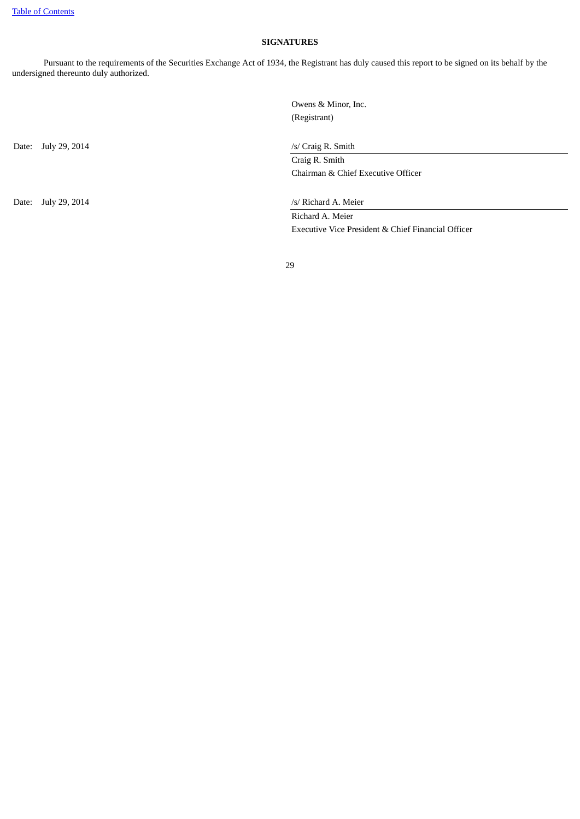# **SIGNATURES**

Pursuant to the requirements of the Securities Exchange Act of 1934, the Registrant has duly caused this report to be signed on its behalf by the undersigned thereunto duly authorized.

Date: July 29, 2014 /s/ Craig R. Smith

<span id="page-28-0"></span>

Owens & Minor, Inc. (Registrant)

Craig R. Smith Chairman & Chief Executive Officer

Date: July 29, 2014 /s/ Richard A. Meier

Richard A. Meier Executive Vice President & Chief Financial Officer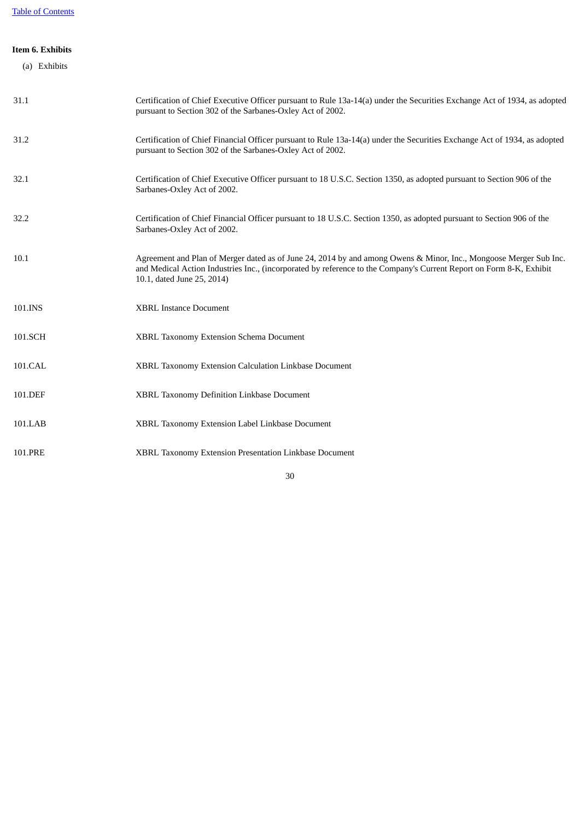| Item 6. Exhibits<br>(a) Exhibits |                                                                                                                                                                                                                                                                        |
|----------------------------------|------------------------------------------------------------------------------------------------------------------------------------------------------------------------------------------------------------------------------------------------------------------------|
| 31.1                             | Certification of Chief Executive Officer pursuant to Rule 13a-14(a) under the Securities Exchange Act of 1934, as adopted<br>pursuant to Section 302 of the Sarbanes-Oxley Act of 2002.                                                                                |
| 31.2                             | Certification of Chief Financial Officer pursuant to Rule 13a-14(a) under the Securities Exchange Act of 1934, as adopted<br>pursuant to Section 302 of the Sarbanes-Oxley Act of 2002.                                                                                |
| 32.1                             | Certification of Chief Executive Officer pursuant to 18 U.S.C. Section 1350, as adopted pursuant to Section 906 of the<br>Sarbanes-Oxley Act of 2002.                                                                                                                  |
| 32.2                             | Certification of Chief Financial Officer pursuant to 18 U.S.C. Section 1350, as adopted pursuant to Section 906 of the<br>Sarbanes-Oxley Act of 2002.                                                                                                                  |
| 10.1                             | Agreement and Plan of Merger dated as of June 24, 2014 by and among Owens & Minor, Inc., Mongoose Merger Sub Inc.<br>and Medical Action Industries Inc., (incorporated by reference to the Company's Current Report on Form 8-K, Exhibit<br>10.1, dated June 25, 2014) |
| 101.INS                          | <b>XBRL Instance Document</b>                                                                                                                                                                                                                                          |
| 101.SCH                          | XBRL Taxonomy Extension Schema Document                                                                                                                                                                                                                                |
| 101.CAL                          | XBRL Taxonomy Extension Calculation Linkbase Document                                                                                                                                                                                                                  |
| 101.DEF                          | XBRL Taxonomy Definition Linkbase Document                                                                                                                                                                                                                             |
| 101.LAB                          | XBRL Taxonomy Extension Label Linkbase Document                                                                                                                                                                                                                        |
| 101.PRE                          | XBRL Taxonomy Extension Presentation Linkbase Document                                                                                                                                                                                                                 |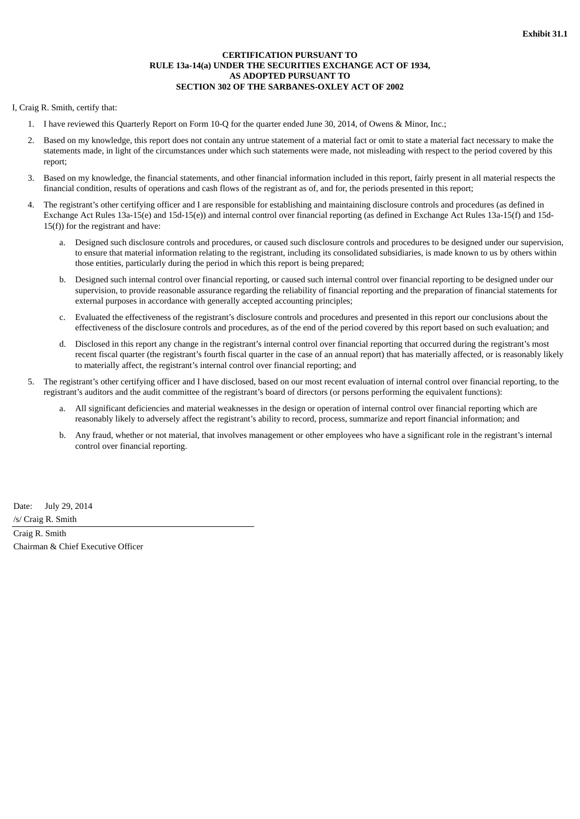# **CERTIFICATION PURSUANT TO RULE 13a-14(a) UNDER THE SECURITIES EXCHANGE ACT OF 1934, AS ADOPTED PURSUANT TO SECTION 302 OF THE SARBANES-OXLEY ACT OF 2002**

# I, Craig R. Smith, certify that:

- 1. I have reviewed this Quarterly Report on Form 10-Q for the quarter ended June 30, 2014, of Owens & Minor, Inc.;
- 2. Based on my knowledge, this report does not contain any untrue statement of a material fact or omit to state a material fact necessary to make the statements made, in light of the circumstances under which such statements were made, not misleading with respect to the period covered by this report;
- 3. Based on my knowledge, the financial statements, and other financial information included in this report, fairly present in all material respects the financial condition, results of operations and cash flows of the registrant as of, and for, the periods presented in this report;
- 4. The registrant's other certifying officer and I are responsible for establishing and maintaining disclosure controls and procedures (as defined in Exchange Act Rules 13a-15(e) and 15d-15(e)) and internal control over financial reporting (as defined in Exchange Act Rules 13a-15(f) and 15d- $15(f)$ ) for the registrant and have:
	- a. Designed such disclosure controls and procedures, or caused such disclosure controls and procedures to be designed under our supervision, to ensure that material information relating to the registrant, including its consolidated subsidiaries, is made known to us by others within those entities, particularly during the period in which this report is being prepared;
	- b. Designed such internal control over financial reporting, or caused such internal control over financial reporting to be designed under our supervision, to provide reasonable assurance regarding the reliability of financial reporting and the preparation of financial statements for external purposes in accordance with generally accepted accounting principles;
	- c. Evaluated the effectiveness of the registrant's disclosure controls and procedures and presented in this report our conclusions about the effectiveness of the disclosure controls and procedures, as of the end of the period covered by this report based on such evaluation; and
	- d. Disclosed in this report any change in the registrant's internal control over financial reporting that occurred during the registrant's most recent fiscal quarter (the registrant's fourth fiscal quarter in the case of an annual report) that has materially affected, or is reasonably likely to materially affect, the registrant's internal control over financial reporting; and
- 5. The registrant's other certifying officer and I have disclosed, based on our most recent evaluation of internal control over financial reporting, to the registrant's auditors and the audit committee of the registrant's board of directors (or persons performing the equivalent functions):
	- a. All significant deficiencies and material weaknesses in the design or operation of internal control over financial reporting which are reasonably likely to adversely affect the registrant's ability to record, process, summarize and report financial information; and
	- b. Any fraud, whether or not material, that involves management or other employees who have a significant role in the registrant's internal control over financial reporting.

Date: July 29, 2014 /s/ Craig R. Smith

Craig R. Smith Chairman & Chief Executive Officer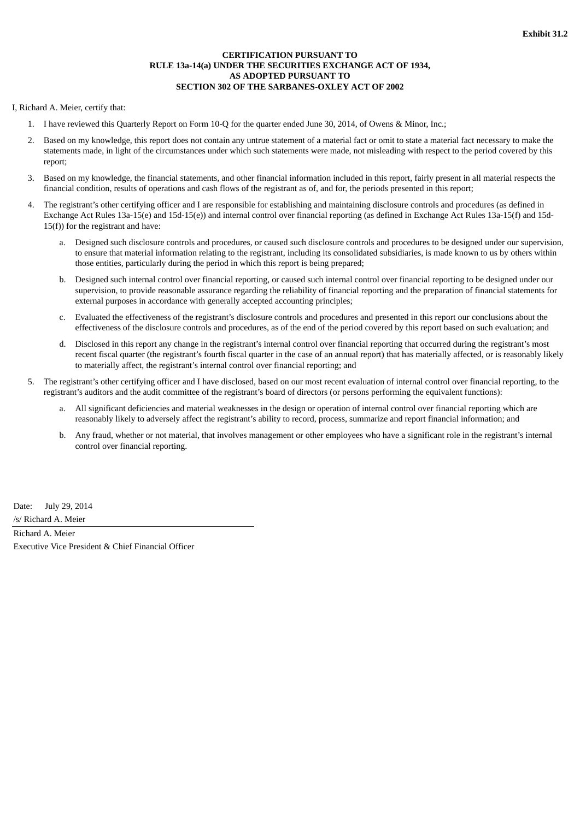# **CERTIFICATION PURSUANT TO RULE 13a-14(a) UNDER THE SECURITIES EXCHANGE ACT OF 1934, AS ADOPTED PURSUANT TO SECTION 302 OF THE SARBANES-OXLEY ACT OF 2002**

### I, Richard A. Meier, certify that:

- 1. I have reviewed this Quarterly Report on Form 10-Q for the quarter ended June 30, 2014, of Owens & Minor, Inc.;
- 2. Based on my knowledge, this report does not contain any untrue statement of a material fact or omit to state a material fact necessary to make the statements made, in light of the circumstances under which such statements were made, not misleading with respect to the period covered by this report;
- 3. Based on my knowledge, the financial statements, and other financial information included in this report, fairly present in all material respects the financial condition, results of operations and cash flows of the registrant as of, and for, the periods presented in this report;
- 4. The registrant's other certifying officer and I are responsible for establishing and maintaining disclosure controls and procedures (as defined in Exchange Act Rules 13a-15(e) and 15d-15(e)) and internal control over financial reporting (as defined in Exchange Act Rules 13a-15(f) and 15d- $15(f)$ ) for the registrant and have:
	- a. Designed such disclosure controls and procedures, or caused such disclosure controls and procedures to be designed under our supervision, to ensure that material information relating to the registrant, including its consolidated subsidiaries, is made known to us by others within those entities, particularly during the period in which this report is being prepared;
	- b. Designed such internal control over financial reporting, or caused such internal control over financial reporting to be designed under our supervision, to provide reasonable assurance regarding the reliability of financial reporting and the preparation of financial statements for external purposes in accordance with generally accepted accounting principles;
	- c. Evaluated the effectiveness of the registrant's disclosure controls and procedures and presented in this report our conclusions about the effectiveness of the disclosure controls and procedures, as of the end of the period covered by this report based on such evaluation; and
	- d. Disclosed in this report any change in the registrant's internal control over financial reporting that occurred during the registrant's most recent fiscal quarter (the registrant's fourth fiscal quarter in the case of an annual report) that has materially affected, or is reasonably likely to materially affect, the registrant's internal control over financial reporting; and
- 5. The registrant's other certifying officer and I have disclosed, based on our most recent evaluation of internal control over financial reporting, to the registrant's auditors and the audit committee of the registrant's board of directors (or persons performing the equivalent functions):
	- a. All significant deficiencies and material weaknesses in the design or operation of internal control over financial reporting which are reasonably likely to adversely affect the registrant's ability to record, process, summarize and report financial information; and
	- b. Any fraud, whether or not material, that involves management or other employees who have a significant role in the registrant's internal control over financial reporting.

Date: July 29, 2014

/s/ Richard A. Meier

Richard A. Meier Executive Vice President & Chief Financial Officer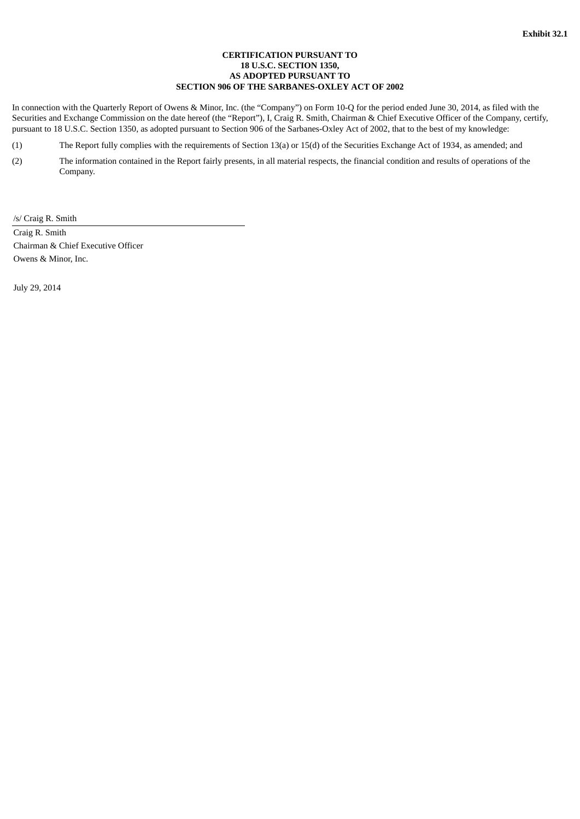# **CERTIFICATION PURSUANT TO 18 U.S.C. SECTION 1350, AS ADOPTED PURSUANT TO SECTION 906 OF THE SARBANES-OXLEY ACT OF 2002**

In connection with the Quarterly Report of Owens & Minor, Inc. (the "Company") on Form 10-Q for the period ended June 30, 2014, as filed with the Securities and Exchange Commission on the date hereof (the "Report"), I, Craig R. Smith, Chairman & Chief Executive Officer of the Company, certify, pursuant to 18 U.S.C. Section 1350, as adopted pursuant to Section 906 of the Sarbanes-Oxley Act of 2002, that to the best of my knowledge:

(1) The Report fully complies with the requirements of Section 13(a) or 15(d) of the Securities Exchange Act of 1934, as amended; and

(2) The information contained in the Report fairly presents, in all material respects, the financial condition and results of operations of the Company.

/s/ Craig R. Smith

Craig R. Smith Chairman & Chief Executive Officer Owens & Minor, Inc.

July 29, 2014